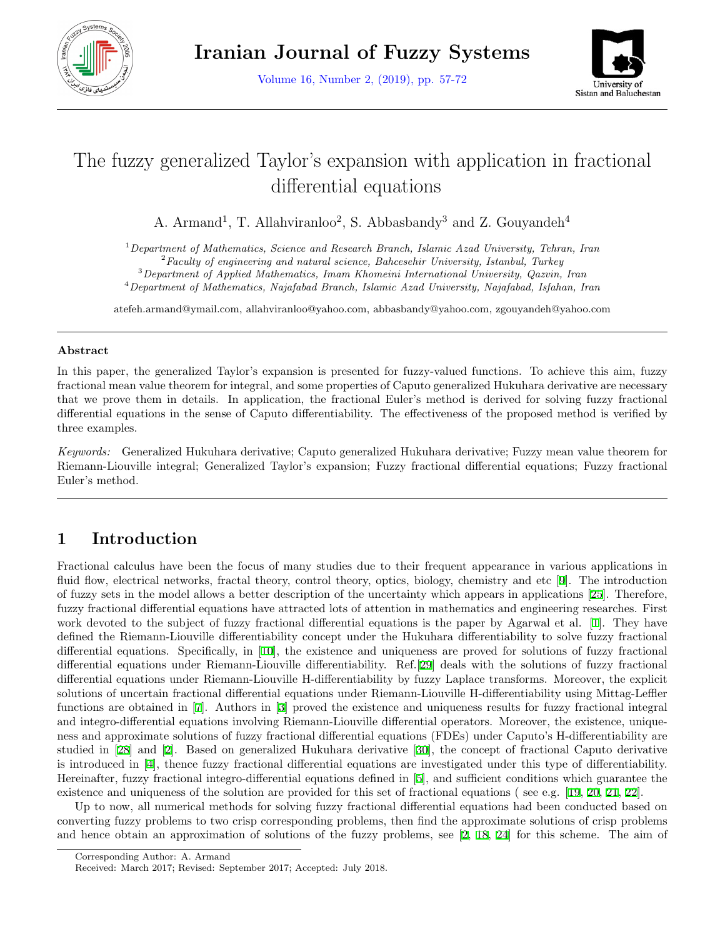



# The fuzzy generalized Taylor's expansion with application in fractional differential equations

A. Armand<sup>1</sup>, T. Allahviranloo<sup>2</sup>, S. Abbasbandy<sup>3</sup> and Z. Gouyandeh<sup>4</sup>

<sup>1</sup>*Department of Mathematics, Science and Research Branch, Islamic Azad University, Tehran, Iran*

<sup>2</sup>*Faculty of engineering and natural science, Bahcesehir University, Istanbul, Turkey*

<sup>3</sup>*Department of Applied Mathematics, Imam Khomeini International University, Qazvin, Iran* <sup>4</sup>*Department of Mathematics, Najafabad Branch, Islamic Azad University, Najafabad, Isfahan, Iran*

atefeh.armand@ymail.com, allahviranloo@yahoo.com, abbasbandy@yahoo.com, zgouyandeh@yahoo.com

#### **Abstract**

In this paper, the generalized Taylor's expansion is presented for fuzzy-valued functions. To achieve this aim, fuzzy fractional mean value theorem for integral, and some properties of Caputo generalized Hukuhara derivative are necessary that we prove them in details. In application, the fractional Euler's method is derived for solving fuzzy fractional differential equations in the sense of Caputo differentiability. The effectiveness of the proposed method is verified by three examples.

*Keywords:* Generalized Hukuhara derivative; Caputo generalized Hukuhara derivative; Fuzzy mean value theorem for Riemann-Liouville integral; Generalized Taylor's expansion; Fuzzy fractional differential equations; Fuzzy fractional Euler's method.

## **1 Introduction**

Fractional calculus have been the focus of many studies due to their frequent appearance in various applications in fluid flow, electrical networks, fractal theory, control theory, optics, biology, chemistry and etc[[9](#page-14-0)]. The introduction of fuzzy sets in the model allows a better description of the uncertainty which appears in applications[[25](#page-15-0)]. Therefore, fuzzy fractional differential equations have attracted lots of attention in mathematics and engineering researches. First work devoted to the subject of fuzzy fractional differential equations is the paper by Agarwal et al.[[1\]](#page-14-1). They have defined the Riemann-Liouville differentiability concept under the Hukuhara differentiability to solve fuzzy fractional differential equations. Specifically, in[[10\]](#page-14-2), the existence and uniqueness are proved for solutions of fuzzy fractional differential equations under Riemann-Liouville differentiability. Ref.[[29\]](#page-15-1) deals with the solutions of fuzzy fractional differential equations under Riemann-Liouville H-differentiability by fuzzy Laplace transforms. Moreover, the explicit solutions of uncertain fractional differential equations under Riemann-Liouville H-differentiability using Mittag-Leffler functions are obtained in [\[7](#page-14-3)]. Authors in[[3\]](#page-14-4) proved the existence and uniqueness results for fuzzy fractional integral and integro-differential equations involving Riemann-Liouville differential operators. Moreover, the existence, uniqueness and approximate solutions of fuzzy fractional differential equations (FDEs) under Caputo's H-differentiability are studied in [\[28](#page-15-2)] and[[2](#page-14-5)]. Based on generalized Hukuhara derivative[[30\]](#page-15-3), the concept of fractional Caputo derivative is introduced in [\[4](#page-14-6)], thence fuzzy fractional differential equations are investigated under this type of differentiability. Hereinafter, fuzzy fractional integro-differential equations defined in[[5\]](#page-14-7), and sufficient conditions which guarantee the existence and uniqueness of the solution are provided for this set of fractional equations ( see e.g.[[19](#page-15-4), [20](#page-15-5), [21](#page-15-6), [22](#page-15-7)].

Up to now, all numerical methods for solving fuzzy fractional differential equations had been conducted based on converting fuzzy problems to two crisp corresponding problems, then find the approximate solutions of crisp problems and hence obtain an approximation of solutions of the fuzzy problems, see [\[2](#page-14-5), [18](#page-15-8), [24](#page-15-9)] for this scheme. The aim of

Corresponding Author: A. Armand

Received: March 2017; Revised: September 2017; Accepted: July 2018.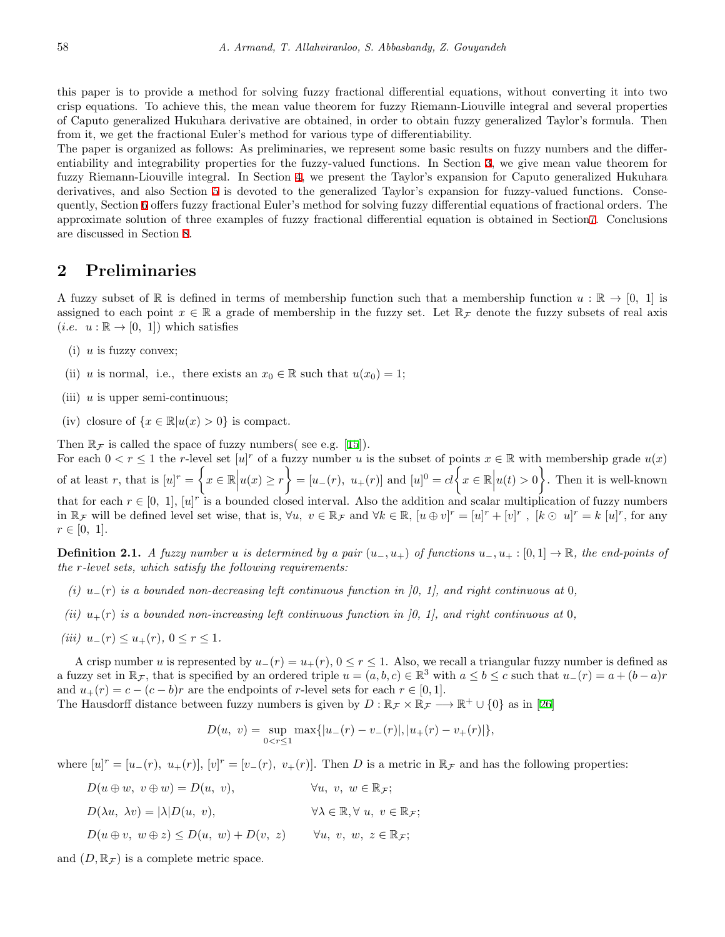this paper is to provide a method for solving fuzzy fractional differential equations, without converting it into two crisp equations. To achieve this, the mean value theorem for fuzzy Riemann-Liouville integral and several properties of Caputo generalized Hukuhara derivative are obtained, in order to obtain fuzzy generalized Taylor's formula. Then from it, we get the fractional Euler's method for various type of differentiability.

The paper is organized as follows: As preliminaries, we represent some basic results on fuzzy numbers and the differentiability and integrability properties for the fuzzy-valued functions. In Section [3](#page-3-0), we give mean value theorem for fuzzy Riemann-Liouville integral. In Section [4,](#page-5-0) we present the Taylor's expansion for Caputo generalized Hukuhara derivatives, and also Section [5](#page-7-0) is devoted to the generalized Taylor's expansion for fuzzy-valued functions. Consequently, Section [6](#page-10-0) offers fuzzy fractional Euler's method for solving fuzzy differential equations of fractional orders. The approximate solution of three examples of fuzzy fractional differential equation is obtained in Section[7](#page-10-1). Conclusions are discussed in Section [8.](#page-13-0)

#### **2 Preliminaries**

A fuzzy subset of R is defined in terms of membership function such that a membership function  $u : \mathbb{R} \to [0, 1]$  is assigned to each point  $x \in \mathbb{R}$  a grade of membership in the fuzzy set. Let  $\mathbb{R}_{\mathcal{F}}$  denote the fuzzy subsets of real axis  $(i.e. u : \mathbb{R} \to [0, 1])$  which satisfies

- (i) *u* is fuzzy convex;
- (ii) *u* is normal, i.e., there exists an  $x_0 \in \mathbb{R}$  such that  $u(x_0) = 1$ ;
- (iii) *u* is upper semi-continuous;
- (iv) closure of  $\{x \in \mathbb{R} | u(x) > 0\}$  is compact.

Then  $\mathbb{R}_{\mathcal{F}}$  is called the space of fuzzy numbers( see e.g. [\[15](#page-15-10)]).

For each  $0 < r \leq 1$  the *r*-level set  $[u]^r$  of a fuzzy number *u* is the subset of points  $x \in \mathbb{R}$  with membership grade  $u(x)$ of at least *r*, that is  $[u]^r = \begin{cases}$  $x \in \mathbb{R} \Big| u(x) \geq r$  $\lambda$  $= [u_-(r), u_+(r)]$  and  $[u]^0 = cl \Big\{ x \in \mathbb{R} \Big| u(t) > 0 \Big\}$  $\mathcal{L}$ . Then it is well-known that for each  $r \in [0, 1]$ ,  $[u]^r$  is a bounded closed interval. Also the addition and scalar multiplication of fuzzy numbers in  $\mathbb{R}_{\mathcal{F}}$  will be defined level set wise, that is,  $\forall u, v \in \mathbb{R}_{\mathcal{F}}$  and  $\forall k \in \mathbb{R}$ ,  $[u \oplus v]^r = [u]^r + [v]^r$ ,  $[k \odot u]^r = k [u]^r$ , for any  $r \in [0, 1].$ 

**Definition 2.1.** *A fuzzy number u is determined by a pair*  $(u_-, u_+)$  *of functions*  $u_-, u_+ : [0,1] \rightarrow \mathbb{R}$ *, the end-points of the r-level sets, which satisfy the following requirements:*

- *(i)*  $u_−(r)$  *is a bounded non-decreasing left continuous function in [0, 1], and right continuous at* 0*,*
- *(ii)*  $u_{+}(r)$  *is a bounded non-increasing left continuous function in [0, 1], and right continuous at* 0*,*
- $(iii)$   $u_-(r) \le u_+(r), 0 \le r \le 1.$

A crisp number *u* is represented by *u−*(*r*) = *u*+(*r*), 0 *≤ r ≤* 1. Also, we recall a triangular fuzzy number is defined as a fuzzy set in  $\mathbb{R}_{\mathcal{F}}$ , that is specified by an ordered triple  $u = (a, b, c) \in \mathbb{R}^3$  with  $a \le b \le c$  such that  $u_-(r) = a + (b - a)r$ and  $u_{+}(r) = c - (c - b)r$  are the endpoints of *r*-level sets for each  $r \in [0, 1]$ .

The Hausdorff distance between fuzzy numbers is given by  $D : \mathbb{R}_{\mathcal{F}} \times \mathbb{R}_{\mathcal{F}} \longrightarrow \mathbb{R}^+ \cup \{0\}$  as in [\[26](#page-15-11)]

$$
D(u, v) = \sup_{0 < r \le 1} \max\{|u_-(r) - v_-(r)|, |u_+(r) - v_+(r)|\},\
$$

where  $[u]^r = [u_-(r), u_+(r)]$ ,  $[v]^r = [v_-(r), v_+(r)]$ . Then *D* is a metric in  $\mathbb{R}_{\mathcal{F}}$  and has the following properties:

 $D(u \oplus w, v \oplus w) = D(u, v),$   $\forall u, v, w \in \mathbb{R}_\mathcal{F};$  $D(\lambda u, \lambda v) = |\lambda| D(u, v),$   $\forall \lambda \in \mathbb{R}, \forall u, v \in \mathbb{R}_F;$  $D(u \oplus v, w \oplus z) \leq D(u, w) + D(v, z)$   $\forall u, v, w, z \in \mathbb{R} \tau$ :

and  $(D, \mathbb{R}_F)$  is a complete metric space.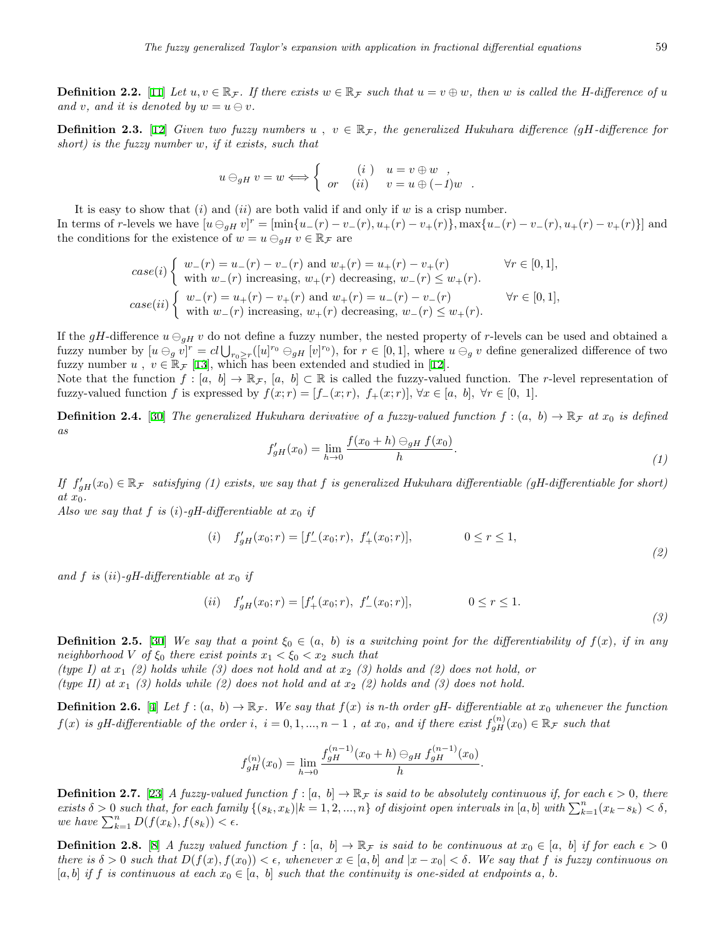**Definition 2.2.** [\[11](#page-14-8)] Let  $u, v \in \mathbb{R}_\mathcal{F}$ . If there exists  $w \in \mathbb{R}_\mathcal{F}$  such that  $u = v \oplus w$ , then w is called the H-difference of u *and v, and it is denoted by*  $w = u \ominus v$ *.* 

**Definition 2.3.** [[12\]](#page-14-9) *Given two fuzzy numbers*  $u, v \in \mathbb{R}_{\mathcal{F}}$ , the generalized Hukuhara difference (gH-difference for *short) is the fuzzy number w, if it exists, such that*

$$
u \ominus_{gH} v = w \Longleftrightarrow \begin{cases} (i) & u = v \oplus w ,\\ or & (ii) & v = u \oplus (-1)w . \end{cases}
$$

It is easy to show that (*i*) and (*ii*) are both valid if and only if *w* is a crisp number. In terms of r-levels we have  $[u \ominus_{gH} v]^r = [\min\{u_-(r) - v_-(r), u_+(r) - v_+(r)\}, \max\{u_-(r) - v_-(r), u_+(r) - v_+(r)\}]$  and the conditions for the existence of  $w = u \ominus_{qH} v \in \mathbb{R}_{\mathcal{F}}$  are

$$
case(i) \left\{ \begin{array}{ll} w_-(r) = u_-(r) - v_-(r) \text{ and } w_+(r) = u_+(r) - v_+(r) & \forall r \in [0,1], \\ \text{with } w_-(r) \text{ increasing, } w_+(r) \text{ decreasing, } w_-(r) \le w_+(r). \end{array} \right. \forall r \in [0,1],
$$
  

$$
case(ii) \left\{ \begin{array}{ll} w_-(r) = u_+(r) - v_+(r) \text{ and } w_+(r) = u_-(r) - v_-(r) & \forall r \in [0,1], \\ \text{with } w_-(r) \text{ increasing, } w_+(r) \text{ decreasing, } w_-(r) \le w_+(r). \end{array} \right.
$$

If the *gH*-difference  $u \ominus_{qH} v$  do not define a fuzzy number, the nested property of *r*-levels can be used and obtained a fuzzy number by  $[u \ominus_{g} v]^{r} = cl \bigcup_{r_{0} \geq r} ([u]^{r_{0}} \ominus_{gH} [v]^{r_{0}})$ , for  $r \in [0,1]$ , where  $u \ominus_{g} v$  define generalized difference of two fuzzy number *u*,  $v \in \mathbb{R}_{\mathcal{F}}$  [[13\]](#page-14-10), which has been extended and studied in [\[12](#page-14-9)].

Note that the function  $f : [a, b] \to \mathbb{R}_{\mathcal{F}}$ ,  $[a, b] \subset \mathbb{R}$  is called the fuzzy-valued function. The *r*-level representation of fuzzy-valued function f is expressed by  $f(x; r) = [f_-(x; r), f_+(x; r)], \forall x \in [a, b], \forall r \in [0, 1].$ 

<span id="page-2-1"></span>**Definition 2.4.** [[30\]](#page-15-3) *The generalized Hukuhara derivative of a fuzzy-valued function*  $f:(a, b) \to \mathbb{R}_F$  *at*  $x_0$  *is defined as*

$$
f'_{gH}(x_0) = \lim_{h \to 0} \frac{f(x_0 + h) \ominus_{gH} f(x_0)}{h}.
$$
\n(1)

*If*  $f'_{gH}(x_0) \in \mathbb{R}$ <sub>*F*</sub> *satisfying* (1) exists, we say that *f* is generalized Hukuhara differentiable (gH-differentiable for short) *at x*0*.*

*Also we say that*  $f$  *is* (*i*)*-gH-differentiable at*  $x_0$  *if* 

(i) 
$$
f'_{gH}(x_0; r) = [f'_{-}(x_0; r), f'_{+}(x_0; r)],
$$
  $0 \le r \le 1,$  (2)

and  $f$  is (*ii*)-gH-differentiable at  $x_0$  if

(*ii*) 
$$
f'_{gH}(x_0; r) = [f'_{+}(x_0; r), f'_{-}(x_0; r)],
$$
  $0 \le r \le 1.$  (3)

<span id="page-2-0"></span>**Definition 2.5.** [\[30](#page-15-3)] We say that a point  $\xi_0 \in (a, b)$  is a switching point for the differentiability of  $f(x)$ *, if in any neighborhood V of*  $\xi_0$  *there exist points*  $x_1 < \xi_0 < x_2$  *such that* 

*(type I) at x*<sup>1</sup> *(2) holds while (3) does not hold and at x*<sup>2</sup> *(3) holds and (2) does not hold, or (type II) at x*<sup>1</sup> *(3) holds while (2) does not hold and at x*<sup>2</sup> *(2) holds and (3) does not hold.*

**Definition 2.6.** [[4\]](#page-14-6) Let  $f:(a, b) \to \mathbb{R}_\mathcal{F}$ . We say that  $f(x)$  is n-th order gH- differentiable at  $x_0$  whenever the function  $f(x)$  is gH-differentiable of the order i,  $i = 0, 1, ..., n - 1$ , at  $x_0$ , and if there exist  $f_{gH}^{(n)}(x_0) \in \mathbb{R}_{\mathcal{F}}$  such that

$$
f_{gH}^{(n)}(x_0) = \lim_{h \to 0} \frac{f_{gH}^{(n-1)}(x_0 + h) \ominus_{gH} f_{gH}^{(n-1)}(x_0)}{h}.
$$

**Definition 2.7.** [\[23](#page-15-12)] *A fuzzy-valued function*  $f : [a, b] \to \mathbb{R}$ *f is said to be absolutely continuous if, for each*  $\epsilon > 0$ *, there* exists  $\delta > 0$  such that, for each family  $\{(s_k, x_k) | k = 1, 2, ..., n\}$  of disjoint open intervals in  $[a, b]$  with  $\sum_{k=1}^{n} (x_k - s_k) < \delta$ ,  $we \; have \; \sum_{k=1}^{n} D(f(x_k), f(s_k)) < \epsilon.$ 

**Definition 2.8.** [[8\]](#page-14-11) *A fuzzy valued function*  $f : [a, b] \to \mathbb{R}$  *f is said to be continuous at*  $x_0 \in [a, b]$  *if for each*  $\epsilon > 0$ there is  $\delta > 0$  such that  $D(f(x), f(x_0)) < \epsilon$ , whenever  $x \in [a, b]$  and  $|x - x_0| < \delta$ . We say that f is fuzzy continuous on  $[a, b]$  *if*  $f$  *is continuous at each*  $x_0 \in [a, b]$  *such that the continuity is one-sided at endpoints*  $a, b$ *.*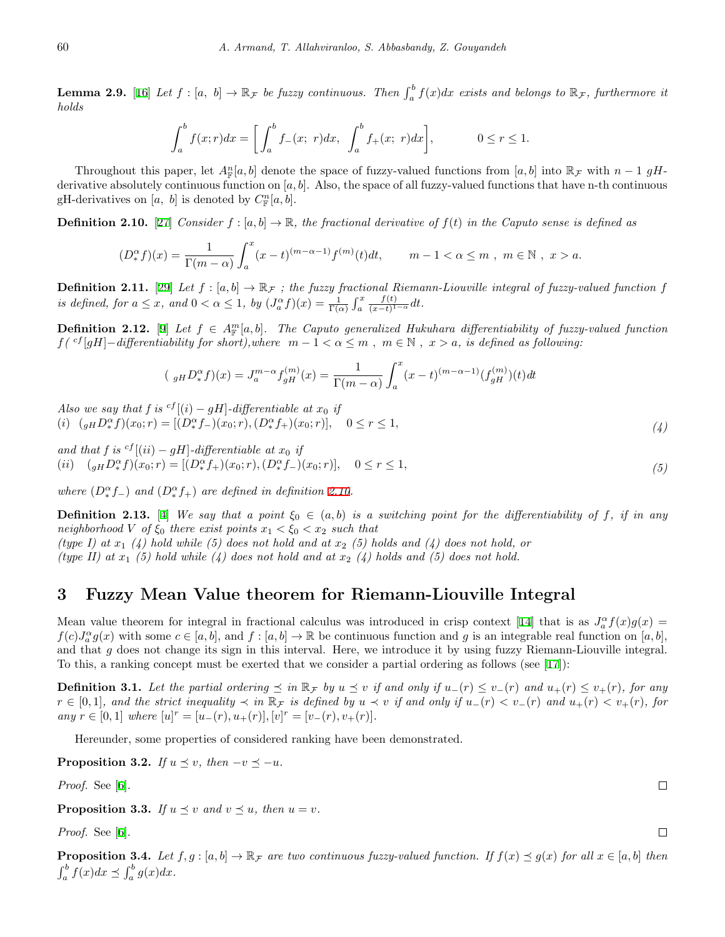**Lemma 2.9.** [[16\]](#page-15-13) Let  $f : [a, b] \to \mathbb{R}_{\mathcal{F}}$  be fuzzy continuous. Then  $\int_a^b f(x)dx$  exists and belongs to  $\mathbb{R}_{\mathcal{F}}$ , furthermore it *holds*

$$
\int_a^b f(x;r)dx = \left[\int_a^b f_-(x;\;r)dx,\;\; \int_a^b f_+(x;\;r)dx\right],\qquad\qquad 0\leq r\leq 1.
$$

Throughout this paper, let  $A_{\mathbb{F}}^n[a, b]$  denote the space of fuzzy-valued functions from  $[a, b]$  into  $\mathbb{R}_{\mathcal{F}}$  with  $n-1$  gHderivative absolutely continuous function on [*a, b*]. Also, the space of all fuzzy-valued functions that have n-th continuous gH-derivatives on [a, b] is denoted by  $C_{\mathbb{F}}^n[a, b]$ .

<span id="page-3-1"></span>**Definition 2.10.** [[27\]](#page-15-14) *Consider*  $f : [a, b] \to \mathbb{R}$ *, the fractional derivative of*  $f(t)$  *in the Caputo sense is defined as* 

$$
(D_*^{\alpha} f)(x) = \frac{1}{\Gamma(m - \alpha)} \int_a^x (x - t)^{(m - \alpha - 1)} f^{(m)}(t) dt, \qquad m - 1 < \alpha \le m , \ m \in \mathbb{N} , \ x > a.
$$

**Definition 2.11.** [[29](#page-15-1)] Let  $f : [a, b] \to \mathbb{R}_F$ ; the fuzzy fractional Riemann-Liouville integral of fuzzy-valued function  $f$ *is defined, for*  $a \leq x$ *, and*  $0 < \alpha \leq 1$ *, by*  $(J_a^{\alpha} f)(x) = \frac{1}{\Gamma(\alpha)} \int_a^x f(x) dx$ *f*(*t*)  $\frac{f(t)}{(x-t)^{1-\alpha}}dt$ .

<span id="page-3-6"></span>**Definition 2.12.** [\[9](#page-14-0)] Let  $f \in A^m_F[a, b]$ . The Caputo generalized Hukuhara differentiability of fuzzy-valued function  $f({}^{cf}[gH]-differentiality for short), where m-1 < \alpha \leq m$ ,  $m \in \mathbb{N}$ ,  $x > a$ , is defined as following:

$$
(\ _{gH}D_{*}^{\alpha}f)(x) = J_{a}^{m-\alpha}f_{gH}^{(m)}(x) = \frac{1}{\Gamma(m-\alpha)} \int_{a}^{x} (x-t)^{(m-\alpha-1)}(f_{gH}^{(m)})(t) dt
$$

*Also we say that f is*  ${}^{cf}$  [(*i*) *− gH*]*-differentiable at*  $x_0$  *if* (*i*)  $(_{gH}D_{*}^{\alpha}f)(x_0;r) = [(D_{*}^{\alpha}f_{-})(x_0;r),(D_{*}^{\alpha}f_{+})(x_0;r)], \quad 0 \leq r \leq 1,$ 

*and that f is*  ${}^{cf}$ [(*ii*) *− gH*]*-differentiable at*  $x_0$  *if* (*ii*)  $(_{gH}D_{*}^{\alpha}f)(x_{0};r) = [(D_{*}^{\alpha}f_{+})(x_{0};r), (D_{*}^{\alpha}f_{-})(x_{0};r)], \quad 0 \leq r \leq 1,$ *(5)*

*where*  $(D^{\alpha}_{*} f_{-})$  *and*  $(D^{\alpha}_{*} f_{+})$  *are defined in definition* [2.10](#page-3-1)*.* 

<span id="page-3-7"></span>**Definition 2.13.** [[4\]](#page-14-6) We say that a point  $\xi_0 \in (a, b)$  is a switching point for the differentiability of f, if in any *neighborhood V of*  $\xi_0$  *there exist points*  $x_1 < \xi_0 < x_2$  *such that (type I) at x*<sup>1</sup> *(4) hold while (5) does not hold and at x*<sup>2</sup> *(5) holds and (4) does not hold, or (type II) at*  $x_1$  (5) hold while (4) does not hold and at  $x_2$  (4) holds and (5) does not hold.

### <span id="page-3-0"></span>**3 Fuzzy Mean Value theorem for Riemann-Liouville Integral**

Meanvalue theorem for integral in fractional calculus was introduced in crisp context [[14\]](#page-15-15) that is as  $J_a^{\alpha} f(x)g(x) =$  $f(c)J_a^{\alpha}g(x)$  with some  $c \in [a, b]$ , and  $f : [a, b] \to \mathbb{R}$  be continuous function and g is an integrable real function on  $[a, b]$ , and that *g* does not change its sign in this interval. Here, we introduce it by using fuzzy Riemann-Liouville integral. To this, a ranking concept must be exerted that we consider a partial ordering as follows (see[[17](#page-15-16)]):

<span id="page-3-2"></span>**Definition 3.1.** Let the partial ordering  $\leq$  in  $\mathbb{R}_{\mathcal{F}}$  by  $u \leq v$  if and only if  $u_{-}(r) \leq v_{-}(r)$  and  $u_{+}(r) \leq v_{+}(r)$ , for any  $r \in [0,1]$ , and the strict inequality  $\prec$  in  $\mathbb{R}_{\mathcal{F}}$  is defined by  $u \prec v$  if and only if  $u_{-}(r) < v_{-}(r)$  and  $u_{+}(r) < v_{+}(r)$ , for  $any \ r \in [0, 1] \ where \ [u]^r = [u_-(r), u_+(r)], [v]^r = [v_-(r), v_+(r)].$ 

Hereunder, some properties of considered ranking have been demonstrated.

<span id="page-3-5"></span>**Proposition 3.2.** *If*  $u \leq v$ *, then*  $-v \leq -u$ *.* 

*Proof.* See[[6\]](#page-14-12).

<span id="page-3-3"></span>**Proposition 3.3.** *If*  $u \leq v$  *and*  $v \leq u$ *, then*  $u = v$ *.* 

*Proof.* See[[6\]](#page-14-12).

<span id="page-3-4"></span>**Proposition 3.4.** Let  $f, g : [a, b] \to \mathbb{R}_{\mathcal{F}}$  are two continuous fuzzy-valued function. If  $f(x) \preceq g(x)$  for all  $x \in [a, b]$  then  $\int_a^b f(x)dx \preceq \int_a^b g(x)dx$ .

 $\Box$ 

 $\Box$ 

*(4)*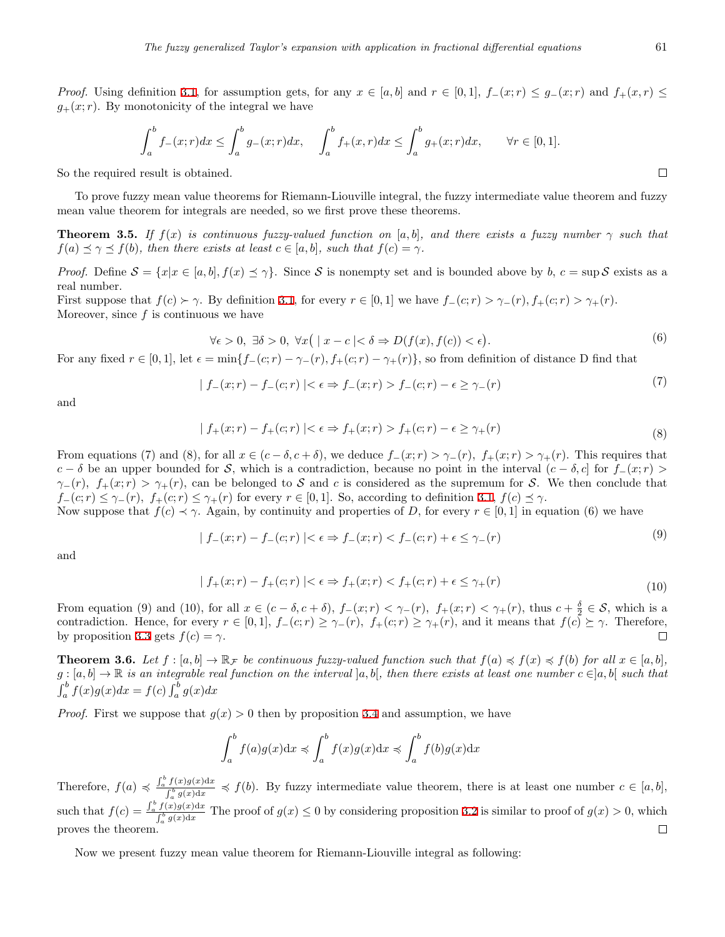*Proof.* Using definition [3.1,](#page-3-2) for assumption gets, for any  $x \in [a, b]$  and  $r \in [0, 1]$ ,  $f_-(x; r) \leq g_-(x; r)$  and  $f_+(x; r) \leq$  $g_{+}(x; r)$ . By monotonicity of the integral we have

$$
\int_{a}^{b} f_{-}(x;r)dx \le \int_{a}^{b} g_{-}(x;r)dx, \quad \int_{a}^{b} f_{+}(x,r)dx \le \int_{a}^{b} g_{+}(x;r)dx, \quad \forall r \in [0,1].
$$

So the required result is obtained.

To prove fuzzy mean value theorems for Riemann-Liouville integral, the fuzzy intermediate value theorem and fuzzy mean value theorem for integrals are needed, so we first prove these theorems.

**Theorem 3.5.** *If*  $f(x)$  *is continuous fuzzy-valued function on* [*a, b*]*, and there exists a fuzzy number*  $\gamma$  *such that*  $f(a) \leq \gamma \leq f(b)$ , then there exists at least  $c \in [a, b]$ , such that  $f(c) = \gamma$ .

*Proof.* Define  $S = \{x | x \in [a, b], f(x) \leq \gamma\}$ . Since S is nonempty set and is bounded above by b,  $c = \sup S$  exists as a real number.

First suppose that  $f(c) > \gamma$ . By definition [3.1](#page-3-2), for every  $r \in [0,1]$  we have  $f_{-}(c;r) > \gamma_{-}(r)$ ,  $f_{+}(c;r) > \gamma_{+}(r)$ . Moreover, since *f* is continuous we have

$$
\forall \epsilon > 0, \ \exists \delta > 0, \ \forall x \big( \mid x - c \mid < \delta \Rightarrow D(f(x), f(c)) < \epsilon \big). \tag{6}
$$

For any fixed  $r \in [0,1]$ , let  $\epsilon = \min\{f_{-}(c;r) - \gamma_{-}(r), f_{+}(c;r) - \gamma_{+}(r)\}\)$ , so from definition of distance D find that

$$
|f_{-}(x;r) - f_{-}(c;r)| < \epsilon \Rightarrow f_{-}(x;r) > f_{-}(c;r) - \epsilon \ge \gamma_{-}(r)
$$
\n
$$
(7)
$$

and

$$
| f_{+}(x; r) - f_{+}(c; r) | < \epsilon \Rightarrow f_{+}(x; r) > f_{+}(c; r) - \epsilon \ge \gamma_{+}(r)
$$
\n(8)

From equations (7) and (8), for all  $x \in (c - \delta, c + \delta)$ , we deduce  $f_-(x; r) > \gamma_-(r)$ ,  $f_+(x; r) > \gamma_+(r)$ . This requires that  $c - \delta$  be an upper bounded for *S*, which is a contradiction, because no point in the interval  $(c - \delta, c]$  for  $f_-(x; r)$  $\gamma$ <sup>−</sup>(*r*)*,*  $f$ <sup>+</sup>( $x$ ; *r*)  $> \gamma$ <sup>+</sup>(*r*)*,* can be belonged to *S* and *c* is considered as the supremum for *S*. We then conclude that  $f_{-}(c;r) \leq \gamma_{-}(r), f_{+}(c;r) \leq \gamma_{+}(r)$  for every  $r \in [0,1]$ . So, according to definition [3.1](#page-3-2),  $f(c) \leq \gamma$ .

Now suppose that  $f(c) \prec \gamma$ . Again, by continuity and properties of *D*, for every  $r \in [0, 1]$  in equation (6) we have

$$
| f_{-}(x; r) - f_{-}(c; r) | < \epsilon \Rightarrow f_{-}(x; r) < f_{-}(c; r) + \epsilon \le \gamma_{-}(r)
$$
\n(9)

and

$$
|f_+(x;r) - f_+(c;r)| < \epsilon \Rightarrow f_+(x;r) < f_+(c;r) + \epsilon \le \gamma_+(r) \tag{10}
$$

From equation (9) and (10), for all  $x \in (c - \delta, c + \delta)$ ,  $f_-(x; r) < \gamma_-(r)$ ,  $f_+(x; r) < \gamma_+(r)$ , thus  $c + \frac{\delta}{2} \in \mathcal{S}$ , which is a contradiction. Hence, for every  $r \in [0,1]$ ,  $f_-(c;r) \geq \gamma_-(r)$ ,  $f_+(c;r) \geq \gamma_+(r)$ , and it means that  $f(c) \succeq \gamma$ . Therefore, by proposition [3.3](#page-3-3) gets  $f(c) = \gamma$ .

<span id="page-4-0"></span>**Theorem 3.6.** Let  $f:[a,b]\to \mathbb{R}_{\mathcal{F}}$  be continuous fuzzy-valued function such that  $f(a)\preccurlyeq f(x)\preccurlyeq f(b)$  for all  $x\in [a,b]$ , *g* : [*a, b*] *→* R *is an integrable real function on the interval* ]*a, b*[*, then there exists at least one number c ∈*]*a, b*[ *such that*  $\int_{a}^{b} f(x)g(x)dx = f(c)\int_{a}^{b} g(x)dx$ 

*Proof.* First we suppose that  $g(x) > 0$  then by proposition [3.4](#page-3-4) and assumption, we have

$$
\int_{a}^{b} f(a)g(x)dx \preccurlyeq \int_{a}^{b} f(x)g(x)dx \preccurlyeq \int_{a}^{b} f(b)g(x)dx
$$

Therefore,  $f(a) \preccurlyeq \frac{\int_a^b f(x)g(x)dx}{\int_a^b g(x)dx}$  $\int_a^b \frac{g(x)dx}{g(x)dx}$   $\leq f(b)$ . By fuzzy intermediate value theorem, there is at least one number  $c \in [a, b]$ , such that  $f(c) = \frac{\int_a^b f(x)g(x)dx}{\int_a^b g(x)dx}$  $\int_a^b \frac{g(x)dx}{g(x)dx}$  The proof of  $g(x) \le 0$  by considering proposition [3.2](#page-3-5) is similar to proof of  $g(x) > 0$ , which proves the theorem.  $\Box$ 

<span id="page-4-1"></span>Now we present fuzzy mean value theorem for Riemann-Liouville integral as following:

 $\Box$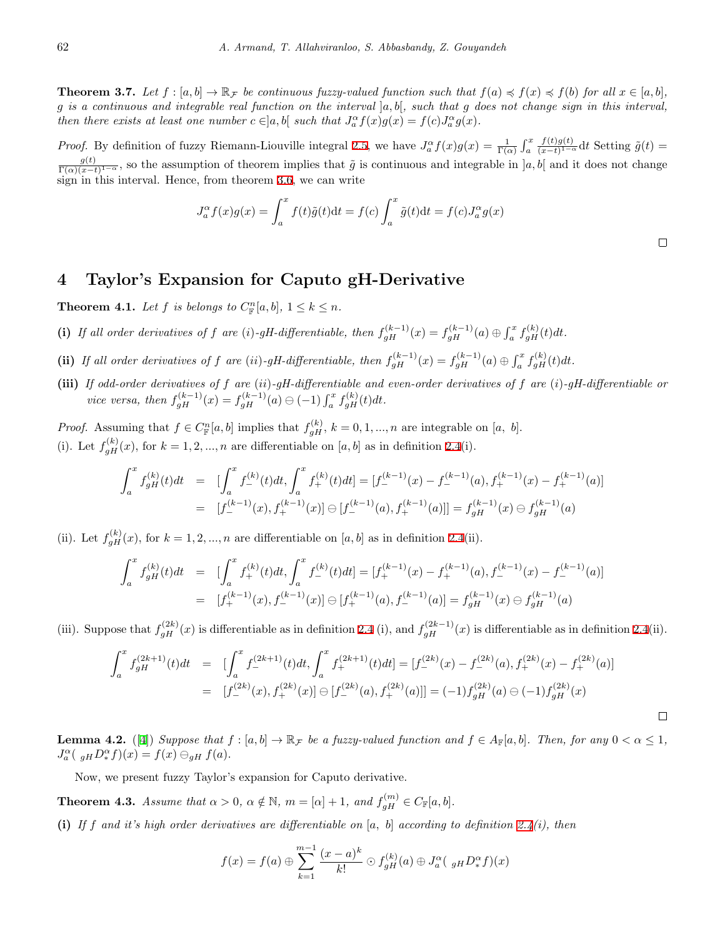**Theorem 3.7.** Let  $f:[a,b]\to \mathbb{R}_F$  be continuous fuzzy-valued function such that  $f(a)\preccurlyeq f(x)\preccurlyeq f(b)$  for all  $x\in [a,b]$ , *g is a continuous and integrable real function on the interval* ]*a, b*[*, such that g does not change sign in this interval,* then there exists at least one number  $c \in ]a,b[$  such that  $J_a^{\alpha} f(x)g(x) = f(c)J_a^{\alpha} g(x)$ .

*Proof.* By definition of fuzzy Riemann-Liouville integral [2.5](#page-2-0), we have  $J_a^{\alpha} f(x)g(x) = \frac{1}{\Gamma(\alpha)} \int_a^x f(x)g(x) dx$  $f(t)g(t)$  $\frac{f(t)g(t)}{(x-t)^{1-\alpha}}dt$  Setting  $\tilde{g}(t)$  = *g*(*t*)  $\frac{g(t)}{\Gamma(\alpha)(x-t)^{1-\alpha}}$ , so the assumption of theorem implies that  $\tilde{g}$  is continuous and integrable in  $a, b$ [ and it does not change sign in this interval. Hence, from theorem [3.6](#page-4-0), we can write

$$
J_a^{\alpha} f(x)g(x) = \int_a^x f(t)\tilde{g}(t)dt = f(c)\int_a^x \tilde{g}(t)dt = f(c)J_a^{\alpha}g(x)
$$

 $\Box$ 

#### <span id="page-5-0"></span>**4 Taylor's Expansion for Caputo gH-Derivative**

<span id="page-5-1"></span>**Theorem 4.1.** *Let*  $f$  *is belongs to*  $C_{\mathbb{F}}^n[a, b], 1 \leq k \leq n$ *.* 

- (i) If all order derivatives of f are (i)-gH-differentiable, then  $f_{gH}^{(k-1)}(x) = f_{gH}^{(k-1)}(a) \oplus \int_a^x f_{gH}^{(k)}(t)dt$ .
- (ii) If all order derivatives of f are (ii)-gH-differentiable, then  $f_{gH}^{(k-1)}(x) = f_{gH}^{(k-1)}(a) \oplus \int_a^x f_{gH}^{(k)}(t)dt$ .
- **(iii)** *If odd-order derivatives of f are* (*ii*)*-gH-differentiable and even-order derivatives of f are* (*i*)*-gH-differentiable or vice versa, then*  $f_{gH}^{(k-1)}(x) = f_{gH}^{(k-1)}(a) \ominus (-1) \int_a^x f_{gH}^{(k)}(t) dt$ .

*Proof.* Assuming that  $f \in C_{\mathbb{F}}^{n}[a, b]$  implies that  $f_{gH}^{(k)}$ ,  $k = 0, 1, ..., n$  are integrable on [*a, b*]. (i). Let  $f_{gH}^{(k)}(x)$ , for  $k = 1, 2, ..., n$  are differentiable on [a, b] as in definition [2.4](#page-2-1)(i).

$$
\int_{a}^{x} f_{gH}^{(k)}(t)dt = \left[ \int_{a}^{x} f_{+}^{(k)}(t)dt, \int_{a}^{x} f_{+}^{(k)}(t)dt \right] = \left[ f_{-}^{(k-1)}(x) - f_{-}^{(k-1)}(a), f_{+}^{(k-1)}(x) - f_{+}^{(k-1)}(a) \right]
$$

$$
= \left[ f_{-}^{(k-1)}(x), f_{+}^{(k-1)}(x) \right] \ominus \left[ f_{-}^{(k-1)}(a), f_{+}^{(k-1)}(a) \right] = f_{gH}^{(k-1)}(x) \ominus f_{gH}^{(k-1)}(a)
$$

(ii). Let  $f_{gH}^{(k)}(x)$ , for  $k = 1, 2, ..., n$  are differentiable on [a, b] as in definition [2.4\(](#page-2-1)ii).

$$
\int_{a}^{x} f_{gH}^{(k)}(t)dt = \left[ \int_{a}^{x} f_{+}^{(k)}(t)dt, \int_{a}^{x} f_{-}^{(k)}(t)dt \right] = \left[ f_{+}^{(k-1)}(x) - f_{+}^{(k-1)}(a), f_{-}^{(k-1)}(x) - f_{-}^{(k-1)}(a) \right]
$$
\n
$$
= \left[ f_{+}^{(k-1)}(x), f_{-}^{(k-1)}(x) \right] \ominus \left[ f_{+}^{(k-1)}(a), f_{-}^{(k-1)}(a) \right] = f_{gH}^{(k-1)}(x) \ominus f_{gH}^{(k-1)}(a)
$$

(iii). Suppose that  $f_{gH}^{(2k)}(x)$  is differentiable as in definition [2.4](#page-2-1) (i), and  $f_{gH}^{(2k-1)}(x)$  is differentiable as in definition [2.4\(](#page-2-1)ii).

$$
\int_{a}^{x} f_{gH}^{(2k+1)}(t)dt = \left[ \int_{a}^{x} f_{-}^{(2k+1)}(t)dt, \int_{a}^{x} f_{+}^{(2k+1)}(t)dt \right] = \left[ f_{-}^{(2k)}(x) - f_{-}^{(2k)}(a), f_{+}^{(2k)}(x) - f_{+}^{(2k)}(a) \right]
$$

$$
= \left[ f_{-}^{(2k)}(x), f_{+}^{(2k)}(x) \right] \ominus \left[ f_{-}^{(2k)}(a), f_{+}^{(2k)}(a) \right] = (-1)f_{gH}^{(2k)}(a) \ominus (-1)f_{gH}^{(2k)}(x)
$$

<span id="page-5-2"></span>**Lemma 4.2.** ([\[4](#page-14-6)]) *Suppose that*  $f : [a, b] \to \mathbb{R}_{\mathcal{F}}$  *be a fuzzy-valued function and*  $f \in A_{\mathbb{F}}[a, b]$ *. Then, for any*  $0 < \alpha \leq 1$ *,*  $J_a^{\alpha}$ (  $_{gH}D_*^{\alpha}f$ )(*x*) =  $f(x) \ominus_{gH} f(a)$ *.* 

Now, we present fuzzy Taylor's expansion for Caputo derivative.

**Theorem 4.3.** *Assume that*  $\alpha > 0$ ,  $\alpha \notin \mathbb{N}$ ,  $m = [\alpha] + 1$ , and  $f_{gH}^{(m)} \in C_{\mathbb{F}}[a, b]$ .

**(i)** *If f and it's high order derivatives are differentiable on* [*a, b*] *according to definition [2.4\(](#page-2-1)i), then*

$$
f(x) = f(a) \oplus \sum_{k=1}^{m-1} \frac{(x-a)^k}{k!} \odot f_{gH}^{(k)}(a) \oplus J_a^{\alpha}(\mathfrak{g}_H D_x^{\alpha} f)(x)
$$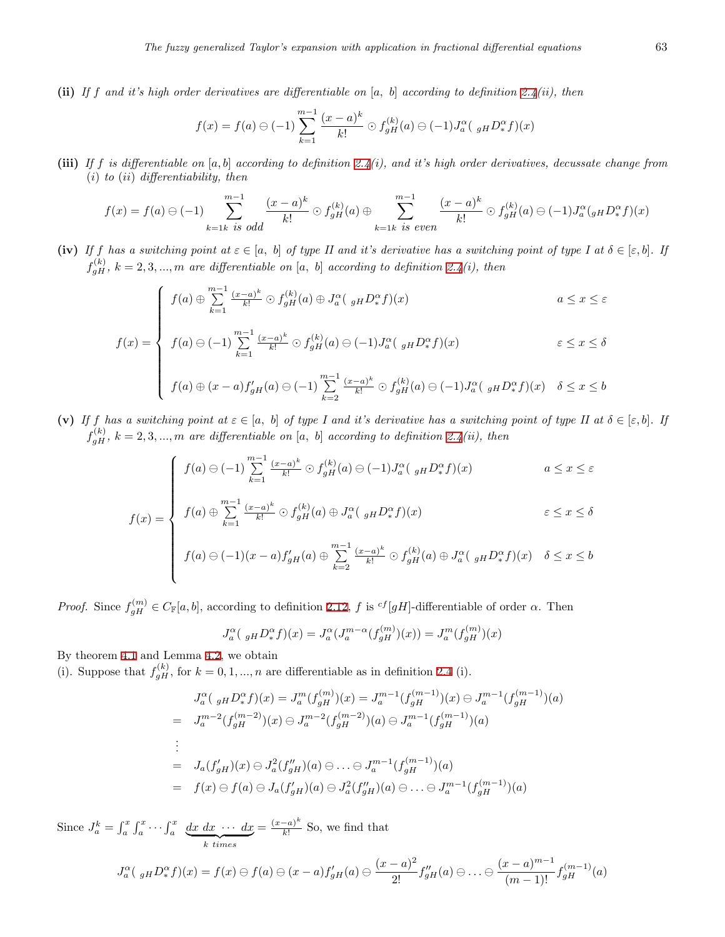**(ii)** *If f and it's high order derivatives are differentiable on* [*a, b*] *according to definition [2.4](#page-2-1)(ii), then*

$$
f(x) = f(a) \ominus (-1) \sum_{k=1}^{m-1} \frac{(x-a)^k}{k!} \ominus f_{gH}^{(k)}(a) \ominus (-1)J_a^{\alpha}(\ _{gH}D_x^{\alpha}f)(x)
$$

**(iii)** *If f is differentiable on* [*a, b*] *according to definition [2.4](#page-2-1)(i), and it's high order derivatives, decussate change from* (*i*) *to* (*ii*) *differentiability, then*

$$
f(x) = f(a) \ominus (-1) \sum_{k=1k \text{ is odd}}^{m-1} \frac{(x-a)^k}{k!} \ominus f_{gH}^{(k)}(a) \oplus \sum_{k=1k \text{ is even}}^{m-1} \frac{(x-a)^k}{k!} \ominus f_{gH}^{(k)}(a) \ominus (-1)J_a^{\alpha}(g_H D_x^{\alpha} f)(x)
$$

(iv) If *f* has a switching point at  $\varepsilon \in [a, b]$  of type II and it's derivative has a switching point of type I at  $\delta \in [\varepsilon, b]$ . If  $f_{gH}^{(k)}$ ,  $k = 2, 3, ..., m$  *are differentiable on* [*a, b*] *according to definition* [2.4](#page-2-1)*(i), then* 

$$
\int f(a) \oplus \sum_{k=1}^{m-1} \frac{(x-a)^k}{k!} \oplus f_{gH}^{(k)}(a) \oplus J_a^{\alpha}(\mathfrak{g}_H D_x^{\alpha} f)(x)
$$
\n
$$
a \le x \le \varepsilon
$$
\n
$$
f(a) \oplus (\iota)^{m-1} (\iota^{n-1})^k \oplus f^{(k)}(a) \oplus (\iota)^{n-1} \oplus f^{(k)}(a)
$$
\n
$$
a \le x \le \varepsilon
$$

$$
f(x) = \begin{cases} f(a) \ominus (-1) \sum_{k=1}^{m-1} \frac{(x-a)^k}{k!} \ominus f_{gH}^{(k)}(a) \ominus (-1) J_a^{\alpha}(\ _{gH} D_x^{\alpha} f)(x) & \varepsilon \le x \le \delta \\ f(a) \oplus (x-a) f'_{gH}(a) \ominus (-1) \sum_{k=2}^{m-1} \frac{(x-a)^k}{k!} \ominus f_{gH}^{(k)}(a) \ominus (-1) J_a^{\alpha}(\ _{gH} D_x^{\alpha} f)(x) & \delta \le x \le b \end{cases}
$$

**(v)** If f has a switching point at  $\varepsilon \in [a, b]$  of type I and it's derivative has a switching point of type II at  $\delta \in [\varepsilon, b]$ . If  $f_{gH}^{(k)}$ ,  $k = 2, 3, ..., m$  are differentiable on [a, b] according to definition [2.4](#page-2-1)(ii), then

$$
\int f(a) \ominus (-1) \sum_{k=1}^{m-1} \frac{(x-a)^k}{k!} \ominus f_{gH}^{(k)}(a) \ominus (-1) J_a^{\alpha} \left( \ _{gH} D_x^{\alpha} f \right)(x) \qquad a \le x \le \varepsilon
$$

$$
f(a) \ominus (-1) \sum_{k=1}^{\infty} \frac{(x-a)^k}{k!} \ominus f_{gH}^{(k)}(a) \ominus (-1)J_a^{\alpha}(\mathfrak{g}_H D_x^{\alpha} f)(x)
$$
  

$$
a \leq x \leq \varepsilon
$$
  

$$
f(x) = \begin{cases} f(a) \oplus \sum_{k=1}^{m-1} \frac{(x-a)^k}{k!} \ominus f_{gH}^{(k)}(a) \oplus J_a^{\alpha}(\mathfrak{g}_H D_x^{\alpha} f)(x) & \varepsilon \leq x \leq \delta \end{cases}
$$

$$
f(a) \ominus (-1)(x-a)f'_{gH}(a) \oplus \sum_{k=2}^{m-1} \frac{(x-a)^k}{k!} \ominus f_{gH}^{(k)}(a) \oplus J_a^{\alpha}(\ _{gH}D_x^{\alpha}f)(x) \quad \delta \le x \le b
$$

*Proof.* Since  $f_{gH}^{(m)} \in C_{\mathbb{F}}[a, b]$ , according to definition [2.12,](#page-3-6) *f* is <sup>*cf*</sup>[*gH*]-differentiable of order *α*. Then

$$
J_a^{\alpha} (g_H D_*^{\alpha} f)(x) = J_a^{\alpha} (J_a^{m-\alpha} (f_{gH}^{(m)})(x)) = J_a^m (f_{gH}^{(m)})(x)
$$

By theorem [4.1](#page-5-1) and Lemma [4.2](#page-5-2), we obtain

(i). Suppose that  $f_{gH}^{(k)}$ , for  $k = 0, 1, ..., n$  are differentiable as in definition [2.4](#page-2-1) (i).

$$
J_a^{\alpha} ({}_{gH} D_{*}^{\alpha} f)(x) = J_a^m (f_{gH}^{(m)})(x) = J_a^{m-1} (f_{gH}^{(m-1)})(x) \ominus J_a^{m-1} (f_{gH}^{(m-1)})(a)
$$
  
\n
$$
= J_a^{m-2} (f_{gH}^{(m-2)})(x) \ominus J_a^{m-2} (f_{gH}^{(m-2)})(a) \ominus J_a^{m-1} (f_{gH}^{(m-1)})(a)
$$
  
\n:  
\n
$$
= J_a (f'_{gH})(x) \ominus J_a^2 (f''_{gH})(a) \ominus \dots \ominus J_a^{m-1} (f_{gH}^{(m-1)})(a)
$$
  
\n
$$
= f(x) \ominus f(a) \ominus J_a (f'_{gH})(a) \ominus J_a^2 (f''_{gH})(a) \ominus \dots \ominus J_a^{m-1} (f_{gH}^{(m-1)})(a)
$$

Since  $J_a^k = \int_a^x \int_a^x \cdots \int_a^x \underbrace{dx \, dx \, \cdots \, dx}_{k \, \text{times}}$  $=\frac{(x-a)^k}{k!}$  $\frac{a}{k!}$  So, we find that

$$
J_a^{\alpha}({\,}_{gH}D_x^{\alpha}f)(x) = f(x) \ominus f(a) \ominus (x-a)f'_{gH}(a) \ominus \frac{(x-a)^2}{2!}f''_{gH}(a) \ominus \ldots \ominus \frac{(x-a)^{m-1}}{(m-1)!}f^{(m-1)}_{gH}(a)
$$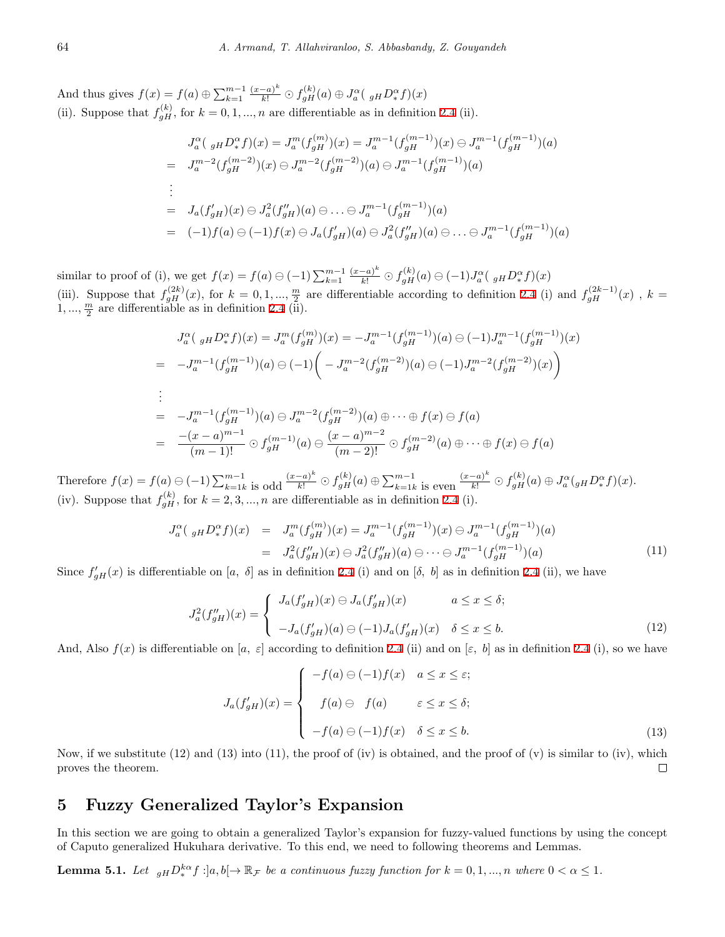And thus gives  $f(x) = f(a) \oplus \sum_{k=1}^{m-1} \frac{(x-a)^k}{k!} \odot f_{gH}^{(k)}(a) \oplus J_a^{\alpha}(\mathbf{I}_{gH} D_x^{\alpha} f)(x)$ (ii). Suppose that  $f_{gH}^{(k)}$ , for  $k = 0, 1, ..., n$  are differentiable as in definition [2.4](#page-2-1) (ii).

$$
J_a^{\alpha} ({}_{gH} D_x^{\alpha} f)(x) = J_a^m (f_{gH}^{(m)})(x) = J_a^{m-1} (f_{gH}^{(m-1)})(x) \ominus J_a^{m-1} (f_{gH}^{(m-1)})(a)
$$
  
\n
$$
= J_a^{m-2} (f_{gH}^{(m-2)})(x) \ominus J_a^{m-2} (f_{gH}^{(m-2)})(a) \ominus J_a^{m-1} (f_{gH}^{(m-1)})(a)
$$
  
\n
$$
\vdots
$$
  
\n
$$
= J_a (f_{gH}^{'})(x) \ominus J_a^2 (f_{gH}^{''})(a) \ominus \dots \ominus J_a^{m-1} (f_{gH}^{(m-1)})(a)
$$
  
\n
$$
= (-1) f(a) \ominus (-1) f(x) \ominus J_a (f_{gH}^{'})(a) \ominus J_a^2 (f_{gH}^{''})(a) \ominus \dots \ominus J_a^{m-1} (f_{gH}^{(m-1)})(a)
$$

similar to proof of (i), we get  $f(x) = f(a) \ominus (-1) \sum_{k=1}^{m-1} \frac{(x-a)^k}{k!} \ominus f_{gH}^{(k)}(a) \ominus (-1) J_a^{\alpha}(\ _{gH}D_x^{\alpha}f)(x)$ (iii). Suppose that  $f_{gH}^{(2k)}(x)$ , for  $k = 0, 1, ..., \frac{m}{2}$  are differentiable according to definition [2.4](#page-2-1) (i) and  $f_{gH}^{(2k-1)}(x)$ ,  $k =$  $1, \ldots, \frac{m}{2}$  are differentiable as in definition [2.4](#page-2-1) (ii).

$$
J_a^{\alpha} ({}_{gH} D_x^{\alpha} f)(x) = J_a^m (f_{gH}^{(m)})(x) = -J_a^{m-1} (f_{gH}^{(m-1)})(a) \ominus (-1)J_a^{m-1} (f_{gH}^{(m-1)})(x)
$$
  
\n
$$
= -J_a^{m-1} (f_{gH}^{(m-1)})(a) \ominus (-1) \left( -J_a^{m-2} (f_{gH}^{(m-2)})(a) \ominus (-1)J_a^{m-2} (f_{gH}^{(m-2)})(x) \right)
$$
  
\n
$$
\vdots
$$
  
\n
$$
= -J_a^{m-1} (f_{gH}^{(m-1)})(a) \ominus J_a^{m-2} (f_{gH}^{(m-2)})(a) \oplus \cdots \oplus f(x) \ominus f(a)
$$
  
\n
$$
= \frac{-(x-a)^{m-1}}{(m-1)!} \odot f_{gH}^{(m-1)}(a) \ominus \frac{(x-a)^{m-2}}{(m-2)!} \odot f_{gH}^{(m-2)}(a) \oplus \cdots \oplus f(x) \ominus f(a)
$$

Therefore  $f(x) = f(a) \ominus (-1) \sum_{k=1k}^{m-1}$  is odd  $\frac{(x-a)^k}{k!} \ominus f_{gH}^{(k)}(a) \oplus \sum_{k=1k}^{m-1}$  is even  $\frac{(x-a)^k}{k!} \ominus f_{gH}^{(k)}(a) \oplus J_a^{\alpha}(g_H D_x^{\alpha} f)(x)$ . (iv). Suppose that  $f_{gH}^{(k)}$ , for  $k = 2, 3, ..., n$  are differentiable as in definition [2.4](#page-2-1) (i).

$$
J_a^{\alpha} (g_H D_*^{\alpha} f)(x) = J_a^m (f_{gH}^{(m)})(x) = J_a^{m-1} (f_{gH}^{(m-1)})(x) \ominus J_a^{m-1} (f_{gH}^{(m-1)})(a)
$$
  

$$
= J_a^2 (f_{gH}^{\prime\prime})(x) \ominus J_a^2 (f_{gH}^{\prime\prime})(a) \ominus \cdots \ominus J_a^{m-1} (f_{gH}^{(m-1)})(a)
$$
(11)

Since  $f'_{gH}(x)$  is differentiable on [*a, δ*] as in definition [2.4](#page-2-1) (i) and on [*δ, b*] as in definition 2.4 (ii), we have

$$
J_a^2(f''_{gH})(x) = \begin{cases} J_a(f'_{gH})(x) \ominus J_a(f'_{gH})(x) & a \le x \le \delta; \\ -J_a(f'_{gH})(a) \ominus (-1)J_a(f'_{gH})(x) & \delta \le x \le b. \end{cases}
$$
(12)

And, Also  $f(x)$  is differentiable on [*a*, *ε*] according to definition [2.4](#page-2-1) (ii) and on [*ε*, *b*] as in definition 2.4 (i), so we have

$$
J_a(f'_{gH})(x) = \begin{cases}\n-f(a) \ominus (-1)f(x) & a \le x \le \varepsilon; \\
f(a) \ominus f(a) & \varepsilon \le x \le \delta; \\
-f(a) \ominus (-1)f(x) & \delta \le x \le b.\n\end{cases}
$$
\n(13)

Now, if we substitute  $(12)$  and  $(13)$  into  $(11)$ , the proof of  $(iv)$  is obtained, and the proof of  $(v)$  is similar to  $(iv)$ , which proves the theorem.  $\Box$ 

#### <span id="page-7-0"></span>**5 Fuzzy Generalized Taylor's Expansion**

In this section we are going to obtain a generalized Taylor's expansion for fuzzy-valued functions by using the concept of Caputo generalized Hukuhara derivative. To this end, we need to following theorems and Lemmas.

<span id="page-7-1"></span>**Lemma 5.1.** Let  $_{gH}D_{*}^{k\alpha}f$ :  $]a, b[ \rightarrow \mathbb{R}_{\mathcal{F}}$  be a continuous fuzzy function for  $k = 0, 1, ..., n$  where  $0 < \alpha \leq 1$ .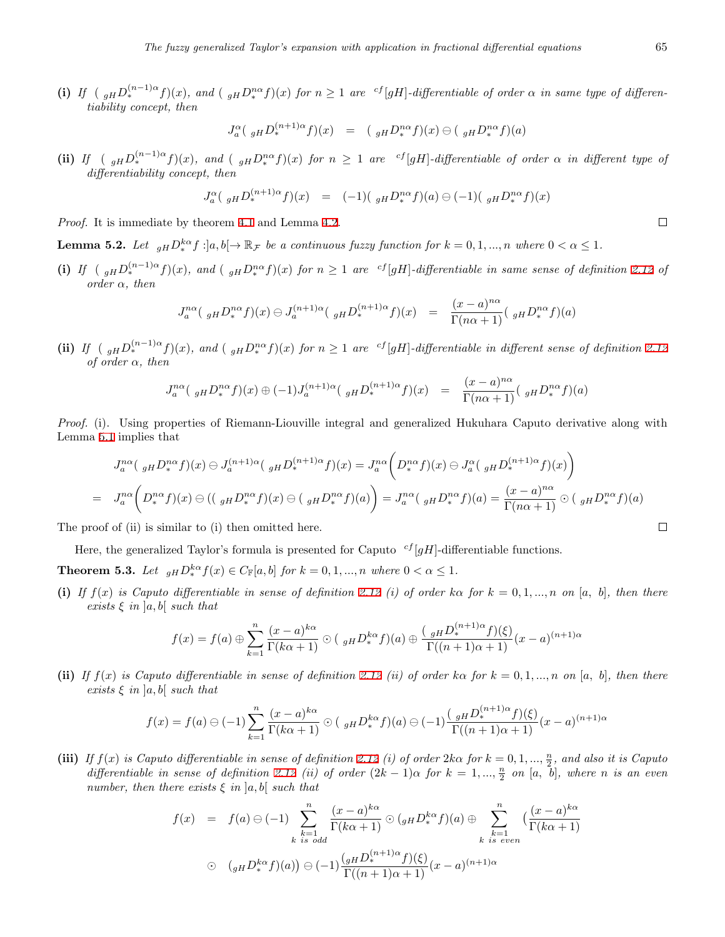(i) If  $(g_H D_*^{(n-1)\alpha} f)(x)$ , and  $(g_H D_*^{n\alpha} f)(x)$  for  $n \geq 1$  are <sup>cf</sup>[gH]-differentiable of order  $\alpha$  in same type of differen*tiability concept, then*

$$
J_a^{\alpha} \left( \ _{gH} D_*^{(n+1)\alpha} f \right)(x) = \left( \ _{gH} D_*^{n\alpha} f \right)(x) \ominus \left( \ _{gH} D_*^{n\alpha} f \right)(a)
$$

(ii) If  $\left(gHD_*^{(n-1)\alpha}f\right)(x)$ , and  $\left(gHD_*^{n\alpha}f\right)(x)$  for  $n \geq 1$  are  $\left(gH\right]$ -differentiable of order  $\alpha$  in different type of *differentiability concept, then*

$$
J_a^{\alpha} \left( \, _{gH} D_*^{(n+1)\alpha} f \right)(x) = (-1) \left( \, _{gH} D_*^{n\alpha} f \right)(a) \ominus (-1) \left( \, _{gH} D_*^{n\alpha} f \right)(x)
$$

*Proof.* It is immediate by theorem [4.1](#page-5-1) and Lemma [4.2](#page-5-2).

<span id="page-8-0"></span>**Lemma 5.2.** Let  $_{gH}D_{*}^{k\alpha}f$ :]a,  $b[\rightarrow \mathbb{R}_{\mathcal{F}}$  be a continuous fuzzy function for  $k = 0, 1, ..., n$  where  $0 < \alpha \leq 1$ .

(i) If  $\left(\int_{gH} D_*^{(n-1)\alpha} f(x) dx\right)$ , and  $\left(\int_{gH} D_*^{n\alpha} f(x) dx\right)$  for  $n \geq 1$  are <sup>cf</sup>[gH]-differentiable in same sense of definition [2.12](#page-3-6) of *order α, then*

$$
J_{a}^{n\alpha} (g_{H} D_{*}^{n\alpha} f)(x) \ominus J_{a}^{(n+1)\alpha} (g_{H} D_{*}^{(n+1)\alpha} f)(x) = \frac{(x-a)^{n\alpha}}{\Gamma(n\alpha+1)} (g_{H} D_{*}^{n\alpha} f)(a)
$$

(ii) If  $\int_{\mathbb{R}} \int_{\mathbb{R}} g_H D_*^{(n-1)\alpha} f(x) dx$ , and  $\int_{\mathbb{R}} g_H D_*^{n\alpha} f(x)$  for  $n \geq 1$  are <sup>cf</sup>[gH]-differentiable in different sense of definition [2.12](#page-3-6) *of order α, then*

$$
J_a^{n\alpha} (g_H D_*^{n\alpha} f)(x) \oplus (-1) J_a^{(n+1)\alpha} (g_H D_*^{(n+1)\alpha} f)(x) = \frac{(x-a)^{n\alpha}}{\Gamma(n\alpha+1)} (g_H D_*^{n\alpha} f)(a)
$$

*Proof.* (i). Using properties of Riemann-Liouville integral and generalized Hukuhara Caputo derivative along with Lemma [5.1](#page-7-1) implies that

$$
J_a^{n\alpha} \left( \, _{gH} D_{\ast}^{n\alpha} f \right)(x) \ominus J_a^{(n+1)\alpha} \left( \, _{gH} D_{\ast}^{(n+1)\alpha} f \right)(x) = J_a^{n\alpha} \left( D_{\ast}^{n\alpha} f \right)(x) \ominus J_a^{\alpha} \left( \, _{gH} D_{\ast}^{(n+1)\alpha} f \right)(x) \right)
$$
  
\n
$$
= J_a^{n\alpha} \left( D_{\ast}^{n\alpha} f \right)(x) \ominus \left( (\, _{gH} D_{\ast}^{n\alpha} f \right)(x) \ominus \left( \, _{gH} D_{\ast}^{n\alpha} f \right)(a) \right) = J_a^{n\alpha} \left( \, _{gH} D_{\ast}^{n\alpha} f \right)(a) = \frac{(x-a)^{n\alpha}}{\Gamma(n\alpha+1)} \odot \left( \, _{gH} D_{\ast}^{n\alpha} f \right)(a)
$$
  
\n
$$
\text{coof of (ii) is similar to (i) then omitted here.} \square
$$

The proof of (ii) is similar to (i) then omitted here.

Here, the generalized Taylor's formula is presented for Caputo *cf* [*gH*]-differentiable functions.

<span id="page-8-1"></span>**Theorem 5.3.** *Let*  $_{gH}D_{*}^{k\alpha}f(x) \in C_{\mathbb{F}}[a,b]$  *for*  $k = 0,1,...,n$  *where*  $0 < \alpha \leq 1$ *.* 

(i) If  $f(x)$  is Caputo differentiable in sense of definition [2.12](#page-3-6) (i) of order ka for  $k = 0, 1, ..., n$  on [a, b], then there *exists ξ in* ]*a, b*[ *such that*

$$
f(x) = f(a) \oplus \sum_{k=1}^{n} \frac{(x-a)^{k\alpha}}{\Gamma(k\alpha+1)} \odot (g_H D_*^{k\alpha} f)(a) \oplus \frac{(g_H D_*^{(n+1)\alpha} f)(\xi)}{\Gamma((n+1)\alpha+1)} (x-a)^{(n+1)\alpha}
$$

(ii) If  $f(x)$  is Caputo differentiable in sense of definition [2.12](#page-3-6) (ii) of order ko for  $k = 0, 1, ..., n$  on [a, b], then there *exists ξ in* ]*a, b*[ *such that*

$$
f(x) = f(a) \ominus (-1) \sum_{k=1}^{n} \frac{(x-a)^{k\alpha}}{\Gamma(k\alpha+1)} \odot (g_H D_{*}^{k\alpha} f)(a) \ominus (-1) \frac{(g_H D_{*}^{(n+1)\alpha} f)(\xi)}{\Gamma((n+1)\alpha+1)} (x-a)^{(n+1)\alpha}
$$

(iii) If  $f(x)$  is Caputo differentiable in sense of definition [2.12](#page-3-6) (i) of order  $2k\alpha$  for  $k = 0, 1, ..., \frac{n}{2}$ , and also it is Caputo *differentiable in sense of definition* [2.12](#page-3-6) *(ii) of order*  $(2k-1)\alpha$  *for*  $k = 1, ..., \frac{n}{2}$  *on*  $[a, b]$ *, where n is an even number, then there exists*  $\xi$  *in*  $|a, b|$  *such that* 

$$
f(x) = f(a) \ominus (-1) \sum_{\substack{k=1 \ k \text{ is odd}}}^n \frac{(x-a)^{k\alpha}}{\Gamma(k\alpha+1)} \odot ({}_{gH}D_*^{k\alpha}f)(a) \oplus \sum_{\substack{k=1 \ k \text{ is even}}}^n \left(\frac{(x-a)^{k\alpha}}{\Gamma(k\alpha+1)}\right)
$$
  

$$
\odot ({}_{gH}D_*^{k\alpha}f)(a) \ominus (-1) \frac{({}_{gH}D_*^{(n+1)\alpha}f)(\xi)}{\Gamma((n+1)\alpha+1)}(x-a)^{(n+1)\alpha}
$$

 $\Box$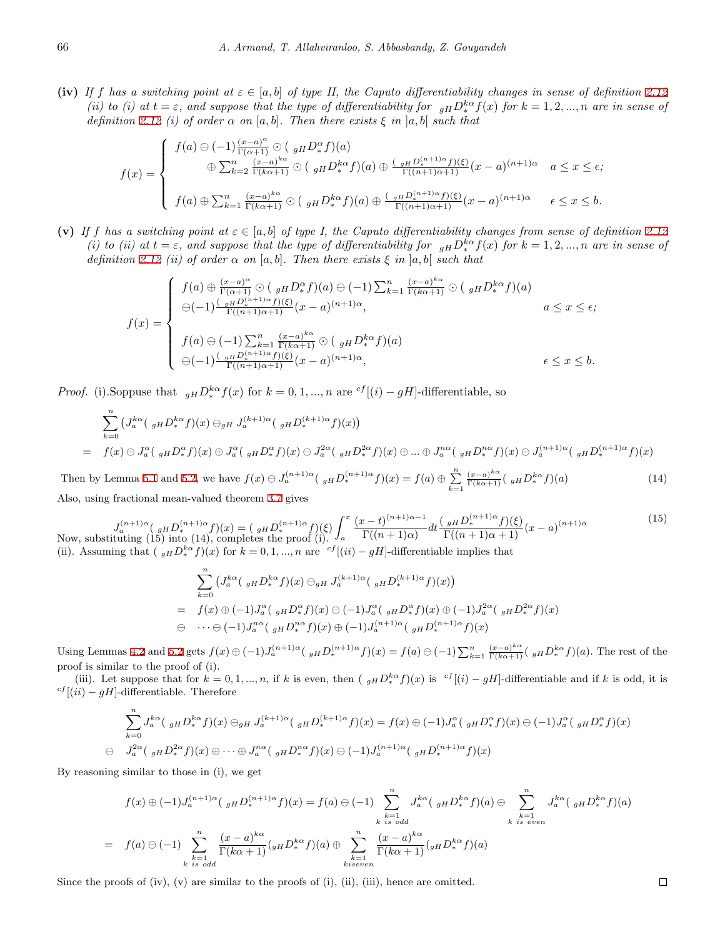**(iv)** If *f* has a switching point at  $\varepsilon \in [a, b]$  of type II, the Caputo differentiability changes in sense of definition [2.12](#page-3-6) *(ii) to (i) at*  $t = \varepsilon$ *, and suppose that the type of differentiability for*  $_{gH}D_{*}^{k\alpha}f(x)$  *for*  $k = 1, 2, ..., n$  *are in sense of definition* [2.12](#page-3-6) *(i) of order*  $\alpha$  *on* [ $a$ ,  $b$ ]*. Then there exists*  $\xi$  *in*  $]a$ ,  $b[$  *such that* 

$$
f(x) = \begin{cases} f(a) \ominus (-1) \frac{(x-a)^{\alpha}}{\Gamma(\alpha+1)} \odot (g_H D^{\alpha}_* f)(a) \\ \oplus \sum_{k=2}^n \frac{(x-a)^{k\alpha}}{\Gamma(k\alpha+1)} \odot (g_H D^{k\alpha}_* f)(a) \oplus \frac{(g_H D^{(n+1)\alpha}_* f)(\xi)}{\Gamma((n+1)\alpha+1)} (x-a)^{(n+1)\alpha} & a \leq x \leq \epsilon; \\ f(a) \oplus \sum_{k=1}^n \frac{(x-a)^{k\alpha}}{\Gamma(k\alpha+1)} \odot (g_H D^{k\alpha}_* f)(a) \oplus \frac{(g_H D^{(n+1)\alpha}_* f)(\xi)}{\Gamma((n+1)\alpha+1)} (x-a)^{(n+1)\alpha} & \epsilon \leq x \leq b. \end{cases}
$$

(v) If *f* has a switching point at  $\varepsilon \in [a, b]$  of type I, the Caputo differentiability changes from sense of definition [2.12](#page-3-6) (i) to (ii) at  $t = \varepsilon$ , and suppose that the type of differentiability for  $_{gH}D_{*}^{k\alpha}f(x)$  for  $k = 1, 2, ..., n$  are in sense of *definition* [2.12](#page-3-6) *(ii) of order*  $\alpha$  *on* [ $a, b$ ]*. Then there exists*  $\xi$  *in* [ $a, b$ ] *such that* 

$$
f(x) = \begin{cases} f(a) \oplus \frac{(x-a)^{\alpha}}{\Gamma(\alpha+1)} \odot \left( \frac{1}{gH} D^{\alpha}_{*} f \right)(a) \ominus (-1) \sum_{k=1}^{n} \frac{(x-a)^{k\alpha}}{\Gamma(k\alpha+1)} \odot \left( \frac{1}{gH} D^k_{*} f \right)(a) \\ \ominus (-1) \frac{\left( \frac{1}{gH} D^{\{n+1\}\alpha}_{*} f \right)(\xi)}{\Gamma((n+1)\alpha+1)} (x-a)^{(n+1)\alpha}, & a \leq x \leq \epsilon; \\ f(a) \ominus (-1) \sum_{k=1}^{n} \frac{(x-a)^{k\alpha}}{\Gamma(k\alpha+1)} \odot \left( \frac{1}{gH} D^k_{*} f \right)(a) \\ \ominus (-1) \frac{\left( \frac{1}{gH} D^{\{n+1\}\alpha}_{*} f \right)(\xi)}{\Gamma((n+1)\alpha+1)} (x-a)^{(n+1)\alpha}, & \epsilon \leq x \leq b. \end{cases}
$$

*Proof.* (i).Soppuse that  $_{gH}D^{k\alpha}_{*}f(x)$  for  $k = 0, 1, ..., n$  are  $^{cf}[(i) - gH]$ -differentiable, so

$$
\sum_{k=0}^{n} \left( J_{a}^{k\alpha} \left( \, _{gH} D_{*}^{k\alpha} f \right) (x) \ominus_{gH} J_{a}^{(k+1)\alpha} \left( \, _{gH} D_{*}^{(k+1)\alpha} f \right) (x) \right)
$$
\n
$$
= f(x) \ominus J_{a}^{\alpha} \left( \, _{gH} D_{*}^{\alpha} f \right) (x) \oplus J_{a}^{\alpha} \left( \, _{gH} D_{*}^{\alpha} f \right) (x) \ominus J_{a}^{2\alpha} \left( \, _{gH} D_{*}^{2\alpha} f \right) (x) \oplus J_{a}^{n\alpha} \left( \, _{gH} D_{*}^{n\alpha} f \right) (x) \ominus J_{a}^{(n+1)\alpha} \left( \, _{gH} D_{*}^{(n+1)\alpha} f \right) (x)
$$

Then by Lemma [5.1](#page-7-1) and [5.2,](#page-8-0) we have  $f(x) \ominus J_a^{(n+1)\alpha}$  ( $_{gH}D_*^{(n+1)\alpha}f(x) = f(a) \oplus \sum_{n=1}^n f(n)$ *k*=1 (*x−a*) *kα* Γ(*kα*+1) ( *gHD kα <sup>∗</sup> f*)(*a*) (14)

Also, using fractional mean-valued theorem [3.7](#page-4-1) gives

 $J_a^{(n+1)\alpha}$  (  $g_H D_*^{(n+1)\alpha} f(x) = (g_H D_*^{(n+1)\alpha} f)(\xi)$ *a*  $\frac{(x-t)^{(n+1)\alpha-1}}{n}$  $\frac{(x-t)^{(n+1)\alpha-1}}{\Gamma((n+1)\alpha)}dt \frac{\left(\frac{g}{H}D_{*}^{(n+1)\alpha}f\right)(\xi)}{\Gamma((n+1)\alpha+1)}(x-a)^{(n+1)\alpha}$ (15) Now, substituting (15) into (14), completes the proof (i). (ii). Assuming that  $(g_H D_*^{k\alpha} f)(x)$  for  $k = 0, 1, ..., n$  are  $\binom{cf}{i}$  *cf*  $[(ii) - gH]$ -differentiable implies that

$$
\sum_{k=0}^{n} \left( J_{a}^{k\alpha} \left( \, _{gH} D_{*}^{k\alpha} f \right) (x) \ominus_{gH} J_{a}^{(k+1)\alpha} \left( \, _{gH} D_{*}^{(k+1)\alpha} f \right) (x) \right)
$$
\n
$$
= f(x) \oplus (-1) J_{a}^{\alpha} \left( \, _{gH} D_{*}^{\alpha} f \right) (x) \ominus (-1) J_{a}^{\alpha} \left( \, _{gH} D_{*}^{\alpha} f \right) (x) \oplus (-1) J_{a}^{2\alpha} \left( \, _{gH} D_{*}^{2\alpha} f \right) (x)
$$
\n
$$
\ominus \cdots \ominus (-1) J_{a}^{n\alpha} \left( \, _{gH} D_{*}^{n\alpha} f \right) (x) \oplus (-1) J_{a}^{(n+1)\alpha} \left( \, _{gH} D_{*}^{(n+1)\alpha} f \right) (x)
$$

Using Lemmas [4.2](#page-5-2) and [5.2](#page-8-0) gets  $f(x) \oplus (-1)J_a^{(n+1)\alpha}$   $_{gH}D_*^{(n+1)\alpha}f(x) = f(a) \ominus (-1) \sum_{k=1}^n \frac{(x-a)^{k\alpha}}{\Gamma(k\alpha+1)} (g_H D_*^{k\alpha} f)(a)$ . The rest of the proof is similar to the proof of (i).

(iii). Let suppose that for  $k = 0, 1, ..., n$ , if k is even, then  $(g_H D_*^{k\alpha} f)(x)$  is  ${}^{cf}[(i) - gH]$ -differentiable and if k is odd, it is *cf* [(*ii*) *<sup>−</sup> gH*]-differentiable. Therefore

$$
\sum_{k=0}^{n} J_{a}^{k\alpha} \left( \, _{gH} D_{*}^{k\alpha} f \right) (x) \ominus_{gH} J_{a}^{(k+1)\alpha} \left( \, _{gH} D_{*}^{(k+1)\alpha} f \right) (x) = f(x) \oplus (-1) J_{a}^{\alpha} \left( \, _{gH} D_{*}^{\alpha} f \right) (x) \ominus (-1) J_{a}^{\alpha} \left( \, _{gH} D_{*}^{\alpha} f \right) (x)
$$
  

$$
\ominus \quad J_{a}^{2\alpha} \left( \, _{gH} D_{*}^{2\alpha} f \right) (x) \oplus \cdots \oplus J_{a}^{n\alpha} \left( \, _{gH} D_{*}^{n\alpha} f \right) (x) \ominus (-1) J_{a}^{(n+1)\alpha} \left( \, _{gH} D_{*}^{(n+1)\alpha} f \right) (x)
$$

By reasoning similar to those in (i), we get

$$
f(x) \oplus (-1)J_a^{(n+1)\alpha} \left( \, _{gH} D_*^{(n+1)\alpha} f \right)(x) = f(a) \ominus (-1) \sum_{\substack{k=1 \ k \text{ is odd}}}^n J_a^{k\alpha} \left( \, _{gH} D_*^{k\alpha} f \right)(a) \oplus \sum_{\substack{k=1 \ k \text{ is even}}}^n J_a^{k\alpha} \left( \, _{gH} D_*^{k\alpha} f \right)(a)
$$

$$
= f(a) \ominus (-1) \sum_{\substack{k=1 \ k \text{ is odd}}}^n \frac{(x-a)^{k\alpha}}{\Gamma(k\alpha+1)} \left( {}_{gH} D_*^{k\alpha} f \right)(a) \oplus \sum_{\substack{k=1 \ k \text{ is even}}}^n \frac{(x-a)^{k\alpha}}{\Gamma(k\alpha+1)} \left( {}_{gH} D_*^{k\alpha} f \right)(a)
$$

Since the proofs of (iv),  $(v)$  are similar to the proofs of (i), (ii), (iii), hence are omitted.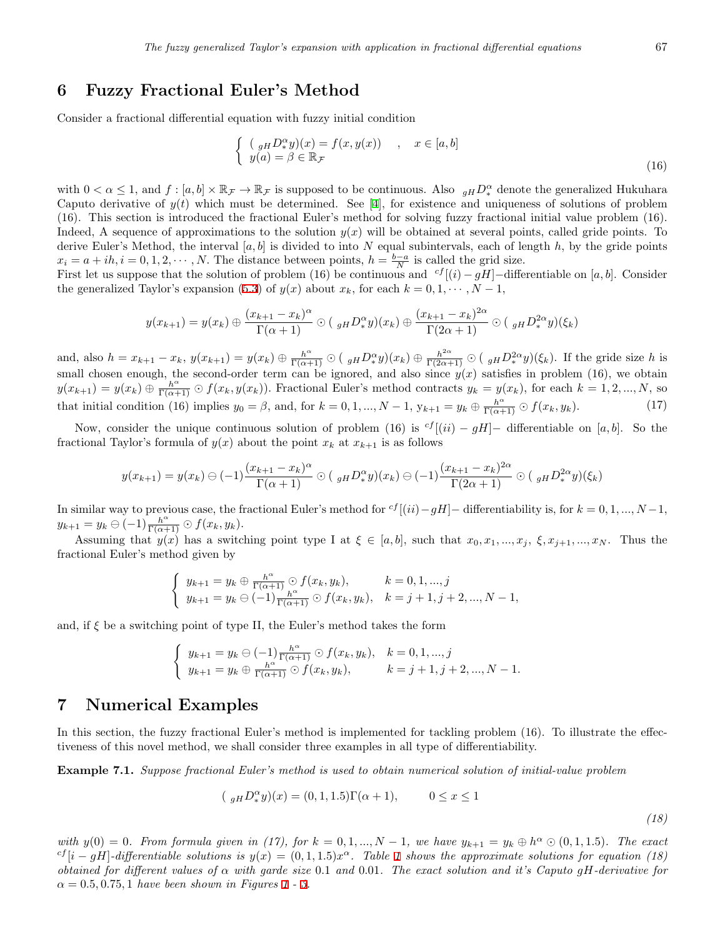#### <span id="page-10-0"></span>**6 Fuzzy Fractional Euler's Method**

Consider a fractional differential equation with fuzzy initial condition

$$
\begin{cases}\n\left(\begin{array}{c} gHD^{\alpha}_{*}y)(x) = f(x, y(x)) \\
y(a) = \beta \in \mathbb{R}_{\mathcal{F}}\n\end{array}\right.\n\end{cases}, \quad x \in [a, b]
$$
\n(16)

with  $0 < \alpha \leq 1$ , and  $f : [a, b] \times \mathbb{R}_{\mathcal{F}} \to \mathbb{R}_{\mathcal{F}}$  is supposed to be continuous. Also  $g_H D_*^{\alpha}$  denote the generalized Hukuhara Caputoderivative of  $y(t)$  which must be determined. See [[4\]](#page-14-6), for existence and uniqueness of solutions of problem (16). This section is introduced the fractional Euler's method for solving fuzzy fractional initial value problem (16). Indeed, A sequence of approximations to the solution *y*(*x*) will be obtained at several points, called gride points. To derive Euler's Method, the interval [*a, b*] is divided to into *N* equal subintervals, each of length *h*, by the gride points  $x_i = a + ih, i = 0, 1, 2, \cdots, N$ . The distance between points,  $h = \frac{b-a}{N}$  is called the grid size.

First let us suppose that the solution of problem (16) be continuous and  $cf$ [ $(i) - gH$ ]−differentiable on [*a, b*]. Consider thegeneralized Taylor's expansion ([5.3\)](#page-8-1) of  $y(x)$  about  $x_k$ , for each  $k = 0, 1, \dots, N - 1$ ,

$$
y(x_{k+1}) = y(x_k) \oplus \frac{(x_{k+1} - x_k)^{\alpha}}{\Gamma(\alpha + 1)} \odot (y_H D_x^{\alpha} y)(x_k) \oplus \frac{(x_{k+1} - x_k)^{2\alpha}}{\Gamma(2\alpha + 1)} \odot (y_H D_x^{2\alpha} y)(\xi_k)
$$

and, also  $h = x_{k+1} - x_k$ ,  $y(x_{k+1}) = y(x_k) \oplus \frac{h^{\alpha}}{\Gamma(\alpha+1)} \odot (y_H D^{\alpha}_* y)(x_k) \oplus \frac{h^{2\alpha}}{\Gamma(2\alpha+1)} \odot (y_H D^{2\alpha}_* y)(\xi_k)$ . If the gride size h is small chosen enough, the second-order term can be ignored, and also since  $y(x)$  satisfies in problem (16), we obtain  $y(x_{k+1}) = y(x_k) \oplus \frac{h^{\alpha}}{\Gamma(\alpha+1)} \oplus f(x_k, y(x_k)).$  Fractional Euler's method contracts  $y_k = y(x_k)$ , for each  $k = 1, 2, ..., N$ , so that initial condition (16) implies  $y_0 = \beta$ , and, for  $k = 0, 1, ..., N - 1$ ,  $y_{k+1} = y_k \oplus \frac{h^{\alpha}}{\Gamma(\alpha+1)} \odot f(x_k, y_k)$ . (17)

Now, consider the unique continuous solution of problem (16) is  ${}^{cf}$ [(*ii*) – gH]– differentiable on [a, b]. So the fractional Taylor's formula of  $y(x)$  about the point  $x_k$  at  $x_{k+1}$  is as follows

$$
y(x_{k+1}) = y(x_k) \ominus (-1) \frac{(x_{k+1} - x_k)^{\alpha}}{\Gamma(\alpha + 1)} \odot (y_H D_*^{\alpha} y)(x_k) \ominus (-1) \frac{(x_{k+1} - x_k)^{2\alpha}}{\Gamma(2\alpha + 1)} \odot (y_H D_*^{2\alpha} y)(\xi_k)
$$

In similar way to previous case, the fractional Euler's method for  $c^{f}$ [( $ii$ ) −  $gH$ ] − differentiability is, for  $k = 0, 1, ..., N - 1$ ,  $y_{k+1} = y_k \ominus (-1) \frac{h^{\alpha}}{\Gamma(\alpha+1)} \odot f(x_k, y_k).$ 

Assuming that  $y(x)$  has a switching point type I at  $\xi \in [a, b]$ , such that  $x_0, x_1, ..., x_j, \xi, x_{j+1}, ..., x_N$ . Thus the fractional Euler's method given by

$$
\begin{cases}\ny_{k+1} = y_k \oplus \frac{h^{\alpha}}{\Gamma(\alpha+1)} \odot f(x_k, y_k), & k = 0, 1, ..., j \\
y_{k+1} = y_k \ominus (-1) \frac{h^{\alpha}}{\Gamma(\alpha+1)} \odot f(x_k, y_k), & k = j+1, j+2, ..., N-1,\n\end{cases}
$$

and, if  $\xi$  be a switching point of type II, the Euler's method takes the form

$$
\begin{cases}\ny_{k+1} = y_k \ominus (-1) \frac{h^{\alpha}}{\Gamma(\alpha+1)} \ominus f(x_k, y_k), & k = 0, 1, ..., j \\
y_{k+1} = y_k \oplus \frac{h^{\alpha}}{\Gamma(\alpha+1)} \ominus f(x_k, y_k), & k = j+1, j+2, ..., N-1.\n\end{cases}
$$

#### <span id="page-10-1"></span>**7 Numerical Examples**

In this section, the fuzzy fractional Euler's method is implemented for tackling problem (16). To illustrate the effectiveness of this novel method, we shall consider three examples in all type of differentiability.

<span id="page-10-2"></span>**Example 7.1.** *Suppose fractional Euler's method is used to obtain numerical solution of initial-value problem*

$$
(g_H D_*^{\alpha} y)(x) = (0, 1, 1.5)\Gamma(\alpha + 1), \qquad 0 \le x \le 1
$$

<span id="page-10-3"></span>with  $y(0) = 0$ . From formula given in (17), for  $k = 0, 1, ..., N - 1$ , we have  $y_{k+1} = y_k \oplus h^{\alpha} \odot (0, 1, 1.5)$ . The exact <sup>cf</sup>[i - gH]-differentiable solutions is  $y(x) = (0, 1, 1.5)x^{\alpha}$  $y(x) = (0, 1, 1.5)x^{\alpha}$  $y(x) = (0, 1, 1.5)x^{\alpha}$ . Table 1 shows the approximate solutions for equation (18) *obtained for different values of α with garde size* 0*.*1 *and* 0*.*01*. The exact solution and it's Caputo gH-derivative for*  $\alpha = 0.5, 0.75, 1$  $\alpha = 0.5, 0.75, 1$  *have been shown in Figures* 1 - [3](#page-11-1).

*(18)*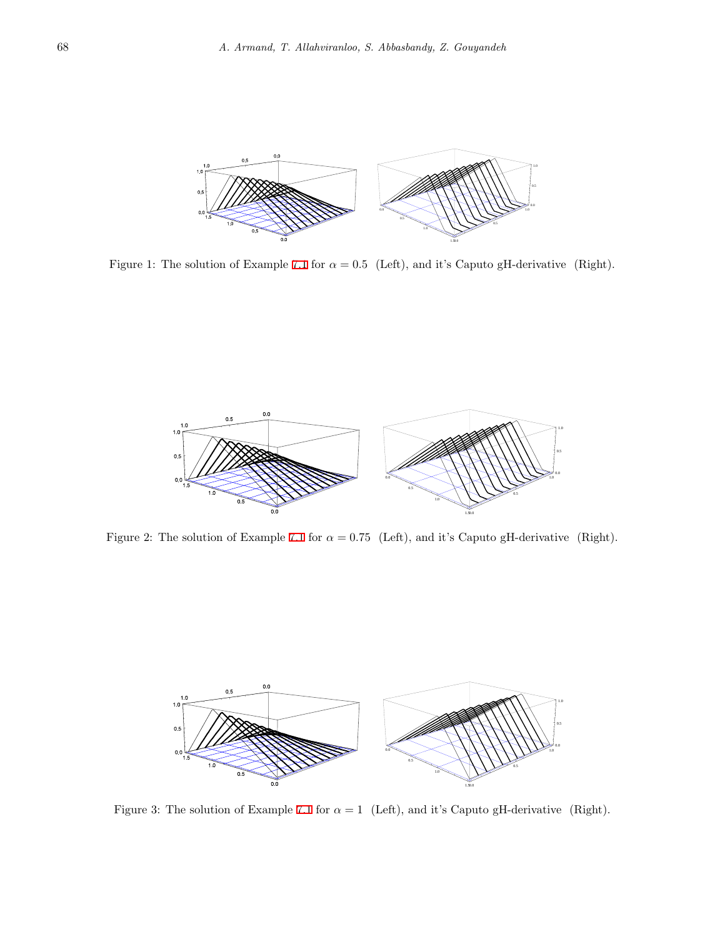

<span id="page-11-0"></span>Figure 1: The solution of Example [7.1](#page-10-2) for  $\alpha = 0.5$  (Left), and it's Caputo gH-derivative (Right).



Figure 2: The solution of Example [7.1](#page-10-2) for  $\alpha = 0.75$  (Left), and it's Caputo gH-derivative (Right).



<span id="page-11-1"></span>Figure 3: The solution of Example [7.1](#page-10-2) for  $\alpha = 1$  (Left), and it's Caputo gH-derivative (Right).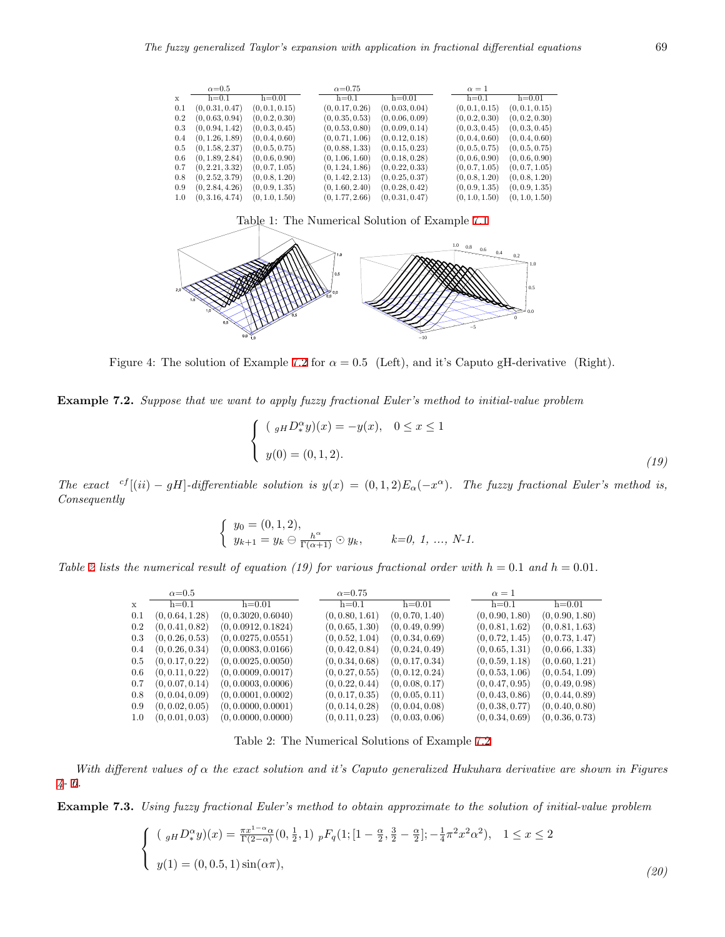|         | $\alpha = 0.5$  |                | $\alpha = 0.75$ |                 | $\alpha=1$     |                |
|---------|-----------------|----------------|-----------------|-----------------|----------------|----------------|
| X       | $h=0.1$         | $h=0.01$       | $h=0.1$         | $h=0.01$        | $h=0.1$        | $h=0.01$       |
| 0.1     | (0, 0.31, 0.47) | (0, 0.1, 0.15) | (0, 0.17, 0.26) | (0, 0.03, 0.04) | (0, 0.1, 0.15) | (0, 0.1, 0.15) |
| 0.2     | (0, 0.63, 0.94) | (0, 0.2, 0.30) | (0, 0.35, 0.53) | (0, 0.06, 0.09) | (0, 0.2, 0.30) | (0, 0.2, 0.30) |
| 0.3     | (0, 0.94, 1.42) | (0, 0.3, 0.45) | (0, 0.53, 0.80) | (0, 0.09, 0.14) | (0, 0.3, 0.45) | (0, 0.3, 0.45) |
| $0.4\,$ | (0, 1.26, 1.89) | (0, 0.4, 0.60) | (0, 0.71, 1.06) | (0, 0.12, 0.18) | (0, 0.4, 0.60) | (0, 0.4, 0.60) |
| 0.5     | (0, 1.58, 2.37) | (0, 0.5, 0.75) | (0, 0.88, 1.33) | (0, 0.15, 0.23) | (0, 0.5, 0.75) | (0, 0.5, 0.75) |
| 0.6     | (0, 1.89, 2.84) | (0, 0.6, 0.90) | (0, 1.06, 1.60) | (0, 0.18, 0.28) | (0, 0.6, 0.90) | (0, 0.6, 0.90) |
| 0.7     | (0, 2.21, 3.32) | (0, 0.7, 1.05) | (0, 1.24, 1.86) | (0, 0.22, 0.33) | (0, 0.7, 1.05) | (0, 0.7, 1.05) |
| 0.8     | (0, 2.52, 3.79) | (0, 0.8, 1.20) | (0, 1.42, 2.13) | (0, 0.25, 0.37) | (0, 0.8, 1.20) | (0, 0.8, 1.20) |
| 0.9     | (0, 2.84, 4.26) | (0, 0.9, 1.35) | (0, 1.60, 2.40) | (0, 0.28, 0.42) | (0, 0.9, 1.35) | (0, 0.9, 1.35) |
| 1.0     | (0, 3.16, 4.74) | (0, 1.0, 1.50) | (0, 1.77, 2.66) | (0, 0.31, 0.47) | (0, 1.0, 1.50) | (0, 1.0, 1.50) |

<span id="page-12-0"></span>

<span id="page-12-2"></span>Figure 4: The solution of Example [7.2](#page-10-3) for  $\alpha = 0.5$  (Left), and it's Caputo gH-derivative (Right).

**Example 7.2.** *Suppose that we want to apply fuzzy fractional Euler's method to initial-value problem*

$$
\begin{cases}\n(\ _{gH}D_{*}^{\alpha}y)(x) = -y(x), & 0 \leq x \leq 1 \\
y(0) = (0, 1, 2).\n\end{cases}
$$
\n(19)

The exact <sup>cf</sup>[(ii) – gH]-differentiable solution is  $y(x) = (0,1,2)E_{\alpha}(-x^{\alpha})$ . The fuzzy fractional Euler's method is, *Consequently*

$$
\begin{cases} y_0 = (0, 1, 2), \\ y_{k+1} = y_k \ominus \frac{h^{\alpha}}{\Gamma(\alpha+1)} \odot y_k, \quad k = 0, 1, ..., N-1. \end{cases}
$$

*Table* [2](#page-12-1) *lists the numerical result of equation (19) for various fractional order with*  $h = 0.1$  *and*  $h = 0.01$ *.* 

|     | $\alpha = 0.5$  |                     | $\alpha$ =0.75  |                 | $\alpha=1$      |                 |
|-----|-----------------|---------------------|-----------------|-----------------|-----------------|-----------------|
| X   | $h=0.1$         | $h=0.01$            | $h=0.1$         | $h=0.01$        | $h=0.1$         | $h=0.01$        |
| 0.1 | (0, 0.64, 1.28) | (0, 0.3020, 0.6040) | (0, 0.80, 1.61) | (0, 0.70, 1.40) | (0, 0.90, 1.80) | (0, 0.90, 1.80) |
| 0.2 | (0, 0.41, 0.82) | (0, 0.0912, 0.1824) | (0, 0.65, 1.30) | (0, 0.49, 0.99) | (0, 0.81, 1.62) | (0, 0.81, 1.63) |
| 0.3 | (0, 0.26, 0.53) | (0, 0.0275, 0.0551) | (0, 0.52, 1.04) | (0, 0.34, 0.69) | (0, 0.72, 1.45) | (0, 0.73, 1.47) |
| 0.4 | (0, 0.26, 0.34) | (0, 0.0083, 0.0166) | (0, 0.42, 0.84) | (0, 0.24, 0.49) | (0, 0.65, 1.31) | (0, 0.66, 1.33) |
| 0.5 | (0, 0.17, 0.22) | (0, 0.0025, 0.0050) | (0, 0.34, 0.68) | (0, 0.17, 0.34) | (0, 0.59, 1.18) | (0, 0.60, 1.21) |
| 0.6 | (0, 0.11, 0.22) | (0, 0.0009, 0.0017) | (0, 0.27, 0.55) | (0, 0.12, 0.24) | (0, 0.53, 1.06) | (0, 0.54, 1.09) |
| 0.7 | (0, 0.07, 0.14) | (0, 0.0003, 0.0006) | (0, 0.22, 0.44) | (0, 0.08, 0.17) | (0, 0.47, 0.95) | (0, 0.49, 0.98) |
| 0.8 | (0, 0.04, 0.09) | (0, 0.0001, 0.0002) | (0, 0.17, 0.35) | (0, 0.05, 0.11) | (0, 0.43, 0.86) | (0, 0.44, 0.89) |
| 0.9 | (0, 0.02, 0.05) | (0, 0.0000, 0.0001) | (0, 0.14, 0.28) | (0, 0.04, 0.08) | (0, 0.38, 0.77) | (0, 0.40, 0.80) |
| 1.0 | (0, 0.01, 0.03) | (0, 0.0000, 0.0000) | (0, 0.11, 0.23) | (0, 0.03, 0.06) | (0, 0.34, 0.69) | (0, 0.36, 0.73) |

<span id="page-12-1"></span>Table 2: The Numerical Solutions of Example [7.2](#page-10-3)

*With different values of α the exact solution and it's Caputo generalized Hukuhara derivative are shown in Figures [4](#page-12-2)- [6.](#page-13-1)*

<span id="page-12-3"></span>**Example 7.3.** *Using fuzzy fractional Euler's method to obtain approximate to the solution of initial-value problem*

$$
\begin{cases}\n(\ _{gH}D_{\ast}^{\alpha}y)(x) = \frac{\pi x^{1-\alpha}}{\Gamma(2-\alpha)}(0, \frac{1}{2}, 1) \ _{p}F_{q}(1; [1-\frac{\alpha}{2}, \frac{3}{2}-\frac{\alpha}{2}]; -\frac{1}{4}\pi^{2}x^{2}\alpha^{2}), & 1 \leq x \leq 2 \\
y(1) = (0, 0.5, 1) \sin(\alpha\pi), & (20)\n\end{cases}
$$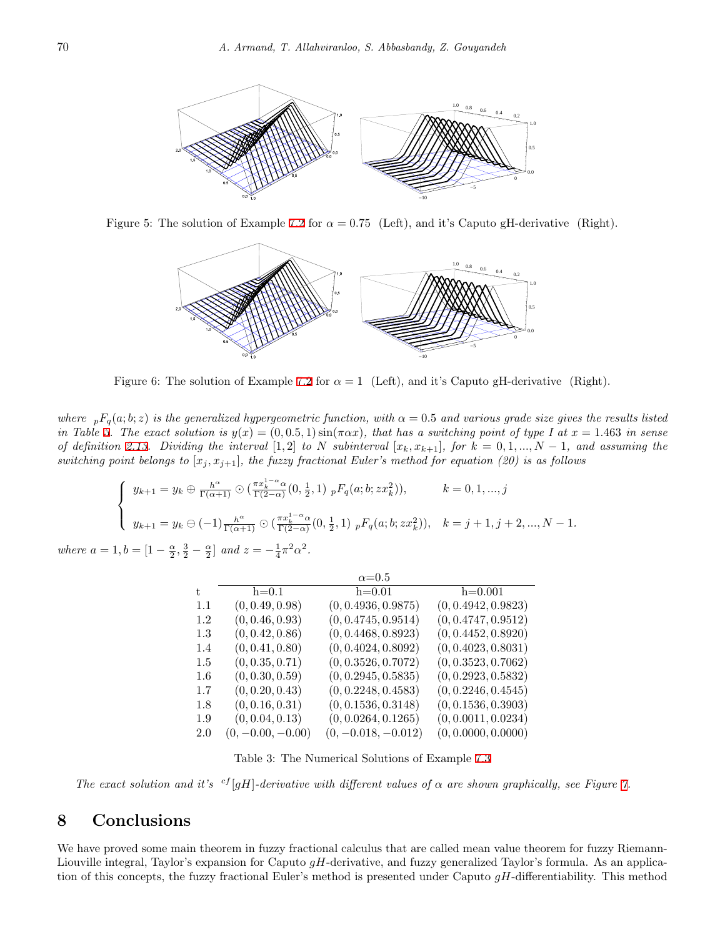

Figure 5: The solution of Example [7.2](#page-10-3) for  $\alpha = 0.75$  (Left), and it's Caputo gH-derivative (Right).



<span id="page-13-1"></span>Figure 6: The solution of Example [7.2](#page-10-3) for  $\alpha = 1$  (Left), and it's Caputo gH-derivative (Right).

*where*  $_pF_q(a;b;z)$  *is the generalized hypergeometric function, with*  $\alpha = 0.5$  *and various grade size gives the results listed in Table [3.](#page-13-2) The exact solution is*  $y(x) = (0, 0.5, 1) \sin(\pi \alpha x)$ , that has a switching point of type I at  $x = 1.463$  in sense of definition [2.13](#page-3-7). Dividing the interval [1,2] to N subinterval  $[x_k, x_{k+1}]$ , for  $k = 0, 1, ..., N-1$ , and assuming the *switching point belongs to*  $[x_j, x_{j+1}]$ *, the fuzzy fractional Euler's method for equation (20) is as follows* 

$$
\begin{cases}\ny_{k+1} = y_k \oplus \frac{h^{\alpha}}{\Gamma(\alpha+1)} \odot (\frac{\pi x_k^{1-\alpha} \alpha}{\Gamma(2-\alpha)} (0, \frac{1}{2}, 1) \, _pF_q(a; b; zx_k^2)), & k = 0, 1, ..., j \\
y_{k+1} = y_k \ominus (-1) \frac{h^{\alpha}}{\Gamma(\alpha+1)} \odot (\frac{\pi x_k^{1-\alpha} \alpha}{\Gamma(2-\alpha)} (0, \frac{1}{2}, 1) \, _pF_q(a; b; zx_k^2)), & k = j + 1, j + 2, ..., N - 1.\n\end{cases}
$$

*where*  $a = 1, b = [1 - \frac{\alpha}{2}, \frac{3}{2} - \frac{\alpha}{2}]$  and  $z = -\frac{1}{4}\pi^2\alpha^2$ .

|         |                     | $\alpha = 0.5$        |                     |
|---------|---------------------|-----------------------|---------------------|
| t.      | $h=0.1$             | $h=0.01$              | $h=0.001$           |
| 1.1     | (0, 0.49, 0.98)     | (0, 0.4936, 0.9875)   | (0, 0.4942, 0.9823) |
| 1.2     | (0, 0.46, 0.93)     | (0, 0.4745, 0.9514)   | (0, 0.4747, 0.9512) |
| 1.3     | (0, 0.42, 0.86)     | (0, 0.4468, 0.8923)   | (0, 0.4452, 0.8920) |
| 1.4     | (0, 0.41, 0.80)     | (0, 0.4024, 0.8092)   | (0, 0.4023, 0.8031) |
| $1.5\,$ | (0, 0.35, 0.71)     | (0, 0.3526, 0.7072)   | (0, 0.3523, 0.7062) |
| $1.6\,$ | (0, 0.30, 0.59)     | (0, 0.2945, 0.5835)   | (0, 0.2923, 0.5832) |
| $1.7\,$ | (0, 0.20, 0.43)     | (0, 0.2248, 0.4583)   | (0, 0.2246, 0.4545) |
| 1.8     | (0, 0.16, 0.31)     | (0, 0.1536, 0.3148)   | (0, 0.1536, 0.3903) |
| 1.9     | (0, 0.04, 0.13)     | (0, 0.0264, 0.1265)   | (0, 0.0011, 0.0234) |
| 2.0     | $(0, -0.00, -0.00)$ | $(0, -0.018, -0.012)$ | (0, 0.0000, 0.0000) |

<span id="page-13-2"></span>Table 3: The Numerical Solutions of Example [7.3](#page-12-3)

*The exact solution and it's*  ${}^{cf}[gH]$ -derivative with different values of  $\alpha$  are shown graphically, see Figure [7.](#page-14-13)

#### <span id="page-13-0"></span>**8 Conclusions**

We have proved some main theorem in fuzzy fractional calculus that are called mean value theorem for fuzzy Riemann-Liouville integral, Taylor's expansion for Caputo *gH*-derivative, and fuzzy generalized Taylor's formula. As an application of this concepts, the fuzzy fractional Euler's method is presented under Caputo *gH*-differentiability. This method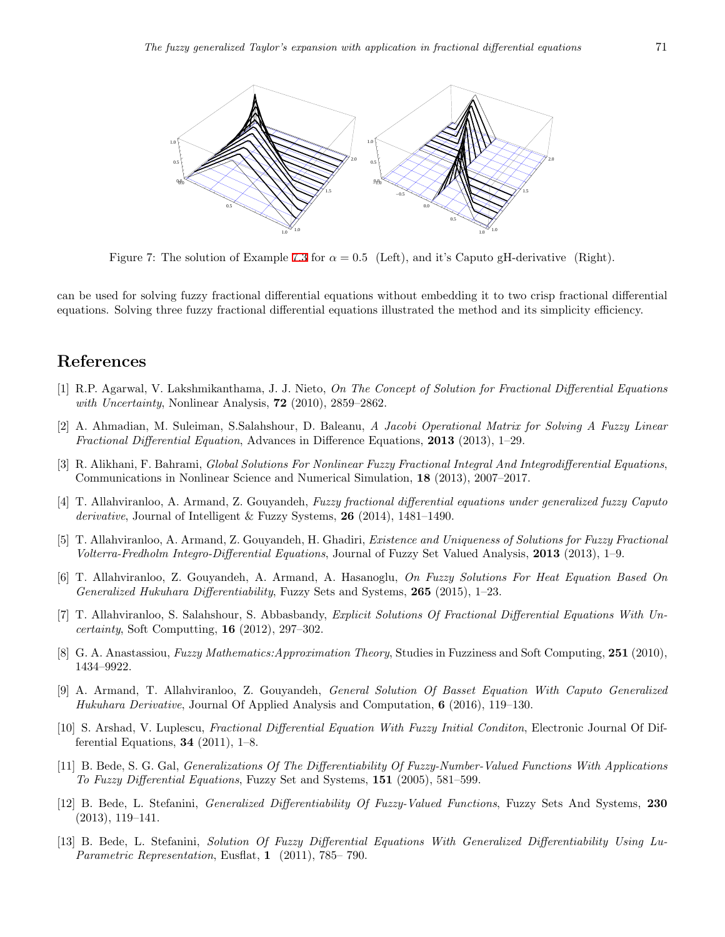

<span id="page-14-13"></span>Figure 7: The solution of Example [7.3](#page-12-3) for  $\alpha = 0.5$  (Left), and it's Caputo gH-derivative (Right).

can be used for solving fuzzy fractional differential equations without embedding it to two crisp fractional differential equations. Solving three fuzzy fractional differential equations illustrated the method and its simplicity efficiency.

#### **References**

- <span id="page-14-1"></span>[1] R.P. Agarwal, V. Lakshmikanthama, J. J. Nieto, *On The Concept of Solution for Fractional Differential Equations with Uncertainty*, Nonlinear Analysis, **72** (2010), 2859–2862.
- <span id="page-14-5"></span>[2] A. Ahmadian, M. Suleiman, S.Salahshour, D. Baleanu, *A Jacobi Operational Matrix for Solving A Fuzzy Linear Fractional Differential Equation*, Advances in Difference Equations, **2013** (2013), 1–29.
- <span id="page-14-4"></span>[3] R. Alikhani, F. Bahrami, *Global Solutions For Nonlinear Fuzzy Fractional Integral And Integrodifferential Equations*, Communications in Nonlinear Science and Numerical Simulation, **18** (2013), 2007–2017.
- <span id="page-14-6"></span>[4] T. Allahviranloo, A. Armand, Z. Gouyandeh, *Fuzzy fractional differential equations under generalized fuzzy Caputo derivative*, Journal of Intelligent & Fuzzy Systems, **26** (2014), 1481–1490.
- <span id="page-14-7"></span>[5] T. Allahviranloo, A. Armand, Z. Gouyandeh, H. Ghadiri, *Existence and Uniqueness of Solutions for Fuzzy Fractional Volterra-Fredholm Integro-Differential Equations*, Journal of Fuzzy Set Valued Analysis, **2013** (2013), 1–9.
- <span id="page-14-12"></span>[6] T. Allahviranloo, Z. Gouyandeh, A. Armand, A. Hasanoglu, *On Fuzzy Solutions For Heat Equation Based On Generalized Hukuhara Differentiability*, Fuzzy Sets and Systems, **265** (2015), 1–23.
- <span id="page-14-3"></span>[7] T. Allahviranloo, S. Salahshour, S. Abbasbandy, *Explicit Solutions Of Fractional Differential Equations With Uncertainty*, Soft Computting, **16** (2012), 297–302.
- <span id="page-14-11"></span>[8] G. A. Anastassiou, *Fuzzy Mathematics:Approximation Theory*, Studies in Fuzziness and Soft Computing, **251** (2010), 1434–9922.
- <span id="page-14-0"></span>[9] A. Armand, T. Allahviranloo, Z. Gouyandeh, *General Solution Of Basset Equation With Caputo Generalized Hukuhara Derivative*, Journal Of Applied Analysis and Computation, **6** (2016), 119–130.
- <span id="page-14-2"></span>[10] S. Arshad, V. Luplescu, *Fractional Differential Equation With Fuzzy Initial Conditon*, Electronic Journal Of Differential Equations, **34** (2011), 1–8.
- <span id="page-14-8"></span>[11] B. Bede, S. G. Gal, *Generalizations Of The Differentiability Of Fuzzy-Number-Valued Functions With Applications To Fuzzy Differential Equations*, Fuzzy Set and Systems, **151** (2005), 581–599.
- <span id="page-14-9"></span>[12] B. Bede, L. Stefanini, *Generalized Differentiability Of Fuzzy-Valued Functions*, Fuzzy Sets And Systems, **230** (2013), 119–141.
- <span id="page-14-10"></span>[13] B. Bede, L. Stefanini, *Solution Of Fuzzy Differential Equations With Generalized Differentiability Using Lu-Parametric Representation*, Eusflat, **1** (2011), 785– 790.